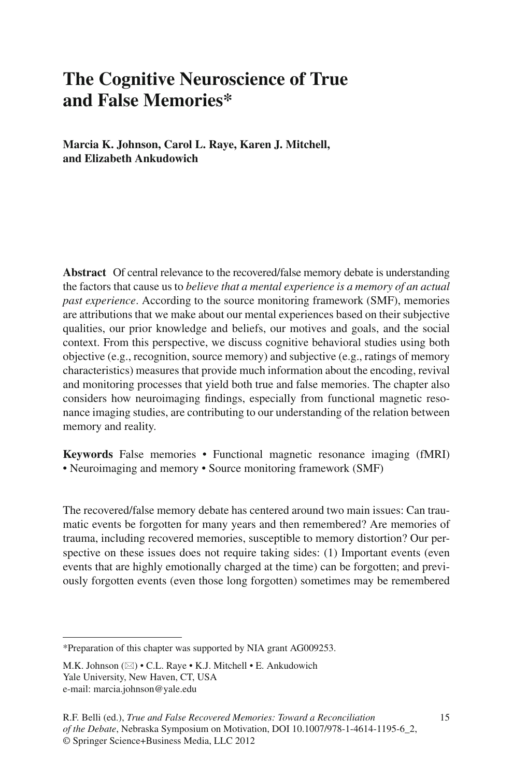# **The Cognitive Neuroscience of True and False Memories\***

Marcia K. Johnson, Carol L. Raye, Karen J. Mitchell, **and Elizabeth Ankudowich** 

 **Abstract** Of central relevance to the recovered/false memory debate is understanding the factors that cause us to *believe that a mental experience is a memory of an actual past experience* . According to the source monitoring framework (SMF), memories are attributions that we make about our mental experiences based on their subjective qualities, our prior knowledge and beliefs, our motives and goals, and the social context. From this perspective, we discuss cognitive behavioral studies using both objective (e.g., recognition, source memory) and subjective (e.g., ratings of memory characteristics) measures that provide much information about the encoding, revival and monitoring processes that yield both true and false memories. The chapter also considers how neuroimaging findings, especially from functional magnetic resonance imaging studies, are contributing to our understanding of the relation between memory and reality.

 **Keywords** False memories • Functional magnetic resonance imaging (fMRI) • Neuroimaging and memory • Source monitoring framework (SMF)

 The recovered/false memory debate has centered around two main issues: Can traumatic events be forgotten for many years and then remembered? Are memories of trauma, including recovered memories, susceptible to memory distortion? Our perspective on these issues does not require taking sides: (1) Important events (even events that are highly emotionally charged at the time) can be forgotten; and previously forgotten events (even those long forgotten) sometimes may be remembered

 <sup>\*</sup>Preparation of this chapter was supported by NIA grant AG009253.

M.K. Johnson  $(\boxtimes) \cdot C.L.$  Raye  $\cdot$  K.J. Mitchell  $\cdot$  E. Ankudowich Yale University, New Haven, CT, USA e-mail: marcia.johnson@yale.edu

R.F. Belli (ed.), *True and False Recovered Memories: Toward a Reconciliation* 15 *of the Debate*, Nebraska Symposium on Motivation, DOI 10.1007/978-1-4614-1195-6\_2, © Springer Science+Business Media, LLC 2012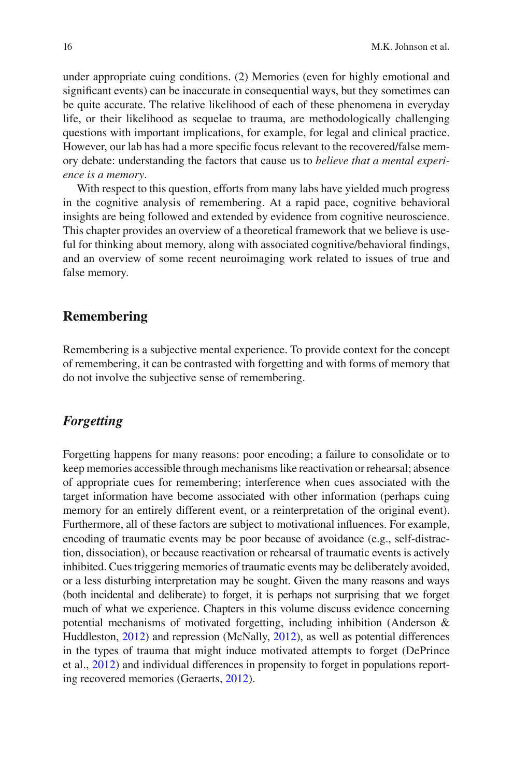under appropriate cuing conditions. (2) Memories (even for highly emotional and significant events) can be inaccurate in consequential ways, but they sometimes can be quite accurate. The relative likelihood of each of these phenomena in everyday life, or their likelihood as sequelae to trauma, are methodologically challenging questions with important implications, for example, for legal and clinical practice. However, our lab has had a more specific focus relevant to the recovered/false memory debate: understanding the factors that cause us to *believe that a mental experience is a memory* .

 With respect to this question, efforts from many labs have yielded much progress in the cognitive analysis of remembering. At a rapid pace, cognitive behavioral insights are being followed and extended by evidence from cognitive neuroscience. This chapter provides an overview of a theoretical framework that we believe is useful for thinking about memory, along with associated cognitive/behavioral findings, and an overview of some recent neuroimaging work related to issues of true and false memory.

#### **Remembering**

 Remembering is a subjective mental experience. To provide context for the concept of remembering, it can be contrasted with forgetting and with forms of memory that do not involve the subjective sense of remembering.

# *Forgetting*

 Forgetting happens for many reasons: poor encoding; a failure to consolidate or to keep memories accessible through mechanisms like reactivation or rehearsal; absence of appropriate cues for remembering; interference when cues associated with the target information have become associated with other information (perhaps cuing memory for an entirely different event, or a reinterpretation of the original event). Furthermore, all of these factors are subject to motivational influences. For example, encoding of traumatic events may be poor because of avoidance (e.g., self-distraction, dissociation), or because reactivation or rehearsal of traumatic events is actively inhibited. Cues triggering memories of traumatic events may be deliberately avoided, or a less disturbing interpretation may be sought. Given the many reasons and ways (both incidental and deliberate) to forget, it is perhaps not surprising that we forget much of what we experience. Chapters in this volume discuss evidence concerning potential mechanisms of motivated forgetting, including inhibition (Anderson & Huddleston, [2012](#page-32-0)) and repression (McNally, 2012), as well as potential differences in the types of trauma that might induce motivated attempts to forget (DePrince et al., [2012](#page-26-0) ) and individual differences in propensity to forget in populations reporting recovered memories (Geraerts, 2012).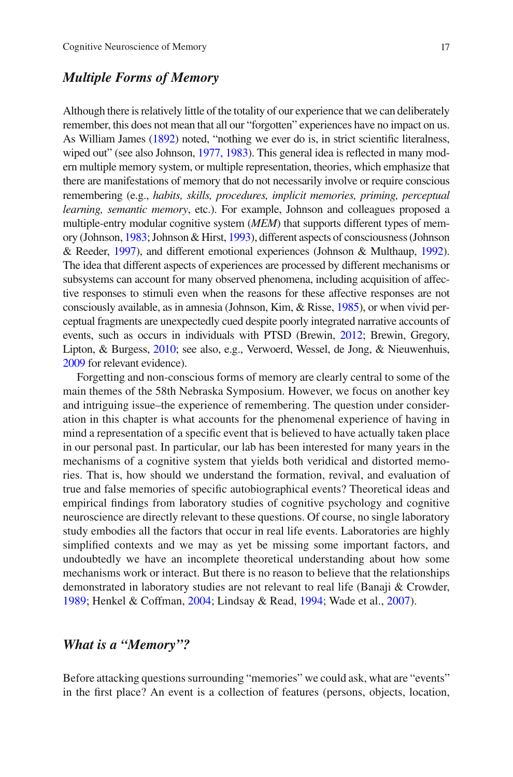# *Multiple Forms of Memory*

 Although there is relatively little of the totality of our experience that we can deliberately remember, this does not mean that all our "forgotten" experiences have no impact on us. As William James (1892) noted, "nothing we ever do is, in strict scientific literalness, wiped out" (see also Johnson, 1977, 1983). This general idea is reflected in many modern multiple memory system, or multiple representation, theories, which emphasize that there are manifestations of memory that do not necessarily involve or require conscious remembering (e.g., *habits, skills, procedures, implicit memories, priming, perceptual learning, semantic memory* , etc.). For example, Johnson and colleagues proposed a multiple-entry modular cognitive system (MEM) that supports different types of memory ( Johnson, [1983](#page-29-0) ; Johnson & Hirst, [1993 \)](#page-29-0) , different aspects of consciousness (Johnson & Reeder, 1997), and different emotional experiences (Johnson & Multhaup, 1992). The idea that different aspects of experiences are processed by different mechanisms or subsystems can account for many observed phenomena, including acquisition of affective responses to stimuli even when the reasons for these affective responses are not consciously available, as in amnesia (Johnson, Kim,  $\&$  Risse, 1985), or when vivid perceptual fragments are unexpectedly cued despite poorly integrated narrative accounts of events, such as occurs in individuals with PTSD (Brewin, 2012; Brewin, Gregory, Lipton, & Burgess, 2010; see also, e.g., Verwoerd, Wessel, de Jong, & Nieuwenhuis, [2009](#page-36-0) for relevant evidence).

 Forgetting and non-conscious forms of memory are clearly central to some of the main themes of the 58th Nebraska Symposium. However, we focus on another key and intriguing issue–the experience of remembering. The question under consideration in this chapter is what accounts for the phenomenal experience of having in mind a representation of a specific event that is believed to have actually taken place in our personal past. In particular, our lab has been interested for many years in the mechanisms of a cognitive system that yields both veridical and distorted memories. That is, how should we understand the formation, revival, and evaluation of true and false memories of specific autobiographical events? Theoretical ideas and empirical findings from laboratory studies of cognitive psychology and cognitive neuroscience are directly relevant to these questions. Of course, no single laboratory study embodies all the factors that occur in real life events. Laboratories are highly simplified contexts and we may as yet be missing some important factors, and undoubtedly we have an incomplete theoretical understanding about how some mechanisms work or interact. But there is no reason to believe that the relationships demonstrated in laboratory studies are not relevant to real life (Banaji & Crowder, 1989; Henkel & Coffman, 2004; Lindsay & Read, 1994; Wade et al., 2007).

#### *What is a "Memory"?*

 Before attacking questions surrounding "memories" we could ask, what are "events" in the first place? An event is a collection of features (persons, objects, location,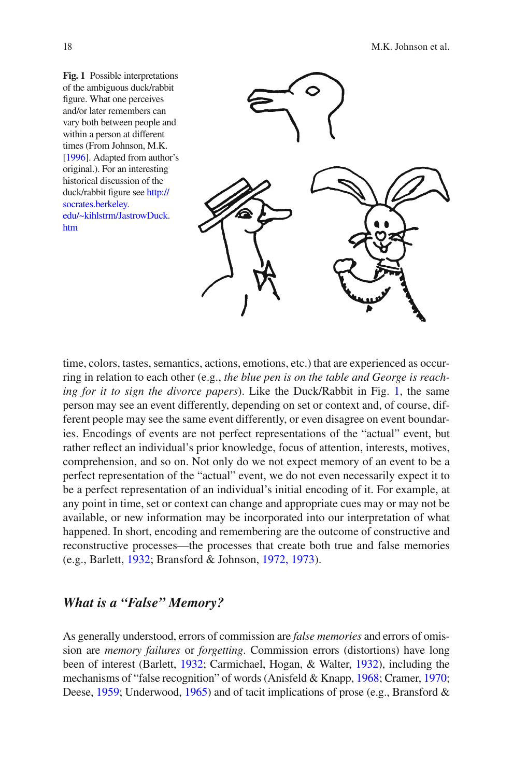**Fig. 1** Possible interpretations of the ambiguous duck/rabbit figure. What one perceives and/or later remembers can vary both between people and within a person at different times (From Johnson, M.K. [[1996](#page-29-0)]. Adapted from author's original.) . For an interesting historical discussion of the duck/rabbit figure see http:// socrates.berkeley. edu/~kihlstrm/JastrowDuck. htm



time, colors, tastes, semantics, actions, emotions, etc.) that are experienced as occurring in relation to each other (e.g., *the blue pen is on the table and George is reaching for it to sign the divorce papers*). Like the Duck/Rabbit in Fig. 1, the same person may see an event differently, depending on set or context and, of course, different people may see the same event differently, or even disagree on event boundaries. Encodings of events are not perfect representations of the "actual" event, but rather reflect an individual's prior knowledge, focus of attention, interests, motives, comprehension, and so on. Not only do we not expect memory of an event to be a perfect representation of the "actual" event, we do not even necessarily expect it to be a perfect representation of an individual's initial encoding of it. For example, at any point in time, set or context can change and appropriate cues may or may not be available, or new information may be incorporated into our interpretation of what happened. In short, encoding and remembering are the outcome of constructive and reconstructive processes—the processes that create both true and false memories (e.g., Barlett, 1932; Bransford & Johnson, [1972,](#page-24-0) 1973).

## *What is a "False" Memory?*

 As generally understood, errors of commission are *false memories* and errors of omission are *memory failures* or *forgetting* . Commission errors (distortions) have long been of interest (Barlett, [1932](#page-25-0); Carmichael, Hogan, & Walter, 1932), including the mechanisms of "false recognition" of words (Anisfeld & Knapp, 1968; Cramer, 1970; Deese, [1959](#page-26-0); Underwood, 1965) and of tacit implications of prose (e.g., Bransford  $\&$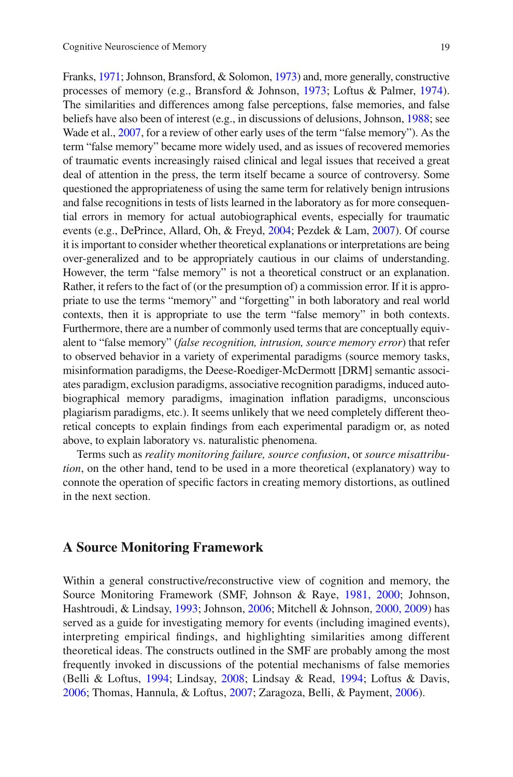Franks, [1971](#page-24-0); Johnson, Bransford, & Solomon, [1973](#page-29-0)) and, more generally, constructive processes of memory (e.g., Bransford & Johnson,  $1973$ ; Loftus & Palmer, 1974). The similarities and differences among false perceptions, false memories, and false beliefs have also been of interest (e.g., in discussions of delusions, Johnson, [1988](#page-29-0) ; see Wade et al., 2007, for a review of other early uses of the term "false memory"). As the term "false memory" became more widely used, and as issues of recovered memories of traumatic events increasingly raised clinical and legal issues that received a great deal of attention in the press, the term itself became a source of controversy. Some questioned the appropriateness of using the same term for relatively benign intrusions and false recognitions in tests of lists learned in the laboratory as for more consequential errors in memory for actual autobiographical events, especially for traumatic events (e.g., DePrince, Allard, Oh, & Freyd, [2004](#page-26-0); Pezdek & Lam, 2007). Of course it is important to consider whether theoretical explanations or interpretations are being over-generalized and to be appropriately cautious in our claims of understanding. However, the term "false memory" is not a theoretical construct or an explanation. Rather, it refers to the fact of (or the presumption of) a commission error. If it is appropriate to use the terms "memory" and "forgetting" in both laboratory and real world contexts, then it is appropriate to use the term "false memory" in both contexts. Furthermore, there are a number of commonly used terms that are conceptually equivalent to "false memory" ( *false recognition, intrusion, source memory error* ) that refer to observed behavior in a variety of experimental paradigms (source memory tasks, misinformation paradigms, the Deese-Roediger-McDermott [DRM] semantic associates paradigm, exclusion paradigms, associative recognition paradigms, induced autobiographical memory paradigms, imagination inflation paradigms, unconscious plagiarism paradigms, etc.). It seems unlikely that we need completely different theoretical concepts to explain findings from each experimental paradigm or, as noted above, to explain laboratory vs. naturalistic phenomena.

 Terms such as *reality monitoring failure, source confusion* , or *source misattribution*, on the other hand, tend to be used in a more theoretical (explanatory) way to connote the operation of specific factors in creating memory distortions, as outlined in the next section.

# **A Source Monitoring Framework**

 Within a general constructive/reconstructive view of cognition and memory, the Source Monitoring Framework (SMF, Johnson & Raye, 1981, 2000; Johnson, Hashtroudi, & Lindsay, 1993; Johnson, [2006](#page-29-0); Mitchell & Johnson, [2000, 2009](#page-32-0)) has served as a guide for investigating memory for events (including imagined events), interpreting empirical findings, and highlighting similarities among different theoretical ideas. The constructs outlined in the SMF are probably among the most frequently invoked in discussions of the potential mechanisms of false memories (Belli & Loftus, [1994](#page-31-0); Lindsay, 2008; Lindsay & Read, 1994; Loftus & Davis, 2006; Thomas, Hannula, & Loftus, 2007; Zaragoza, Belli, & Payment, 2006).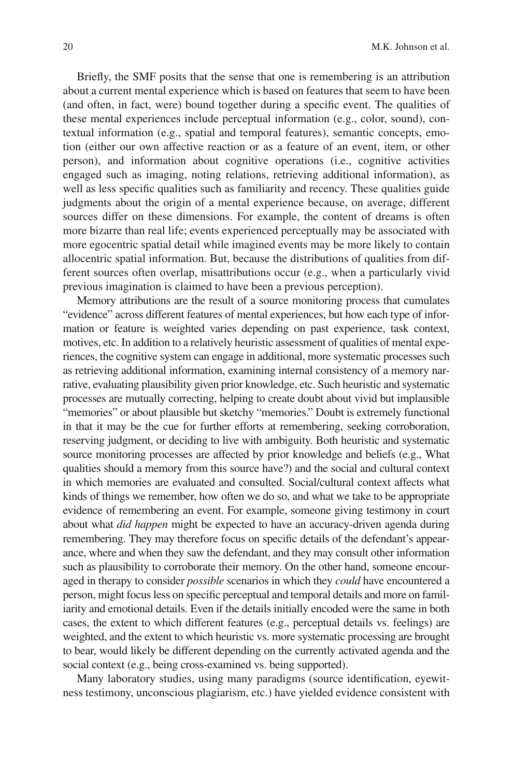Briefly, the SMF posits that the sense that one is remembering is an attribution about a current mental experience which is based on features that seem to have been (and often, in fact, were) bound together during a specific event. The qualities of these mental experiences include perceptual information (e.g., color, sound), contextual information (e.g., spatial and temporal features), semantic concepts, emotion (either our own affective reaction or as a feature of an event, item, or other person), and information about cognitive operations (i.e., cognitive activities engaged such as imaging, noting relations, retrieving additional information), as well as less specific qualities such as familiarity and recency. These qualities guide judgments about the origin of a mental experience because, on average, different sources differ on these dimensions. For example, the content of dreams is often more bizarre than real life; events experienced perceptually may be associated with more egocentric spatial detail while imagined events may be more likely to contain allocentric spatial information. But, because the distributions of qualities from different sources often overlap, misattributions occur (e.g., when a particularly vivid previous imagination is claimed to have been a previous perception).

 Memory attributions are the result of a source monitoring process that cumulates "evidence" across different features of mental experiences, but how each type of information or feature is weighted varies depending on past experience, task context, motives, etc. In addition to a relatively heuristic assessment of qualities of mental experiences, the cognitive system can engage in additional, more systematic processes such as retrieving additional information, examining internal consistency of a memory narrative, evaluating plausibility given prior knowledge, etc. Such heuristic and systematic processes are mutually correcting, helping to create doubt about vivid but implausible "memories" or about plausible but sketchy "memories." Doubt is extremely functional in that it may be the cue for further efforts at remembering, seeking corroboration, reserving judgment, or deciding to live with ambiguity. Both heuristic and systematic source monitoring processes are affected by prior knowledge and beliefs (e.g., What qualities should a memory from this source have?) and the social and cultural context in which memories are evaluated and consulted. Social/cultural context affects what kinds of things we remember, how often we do so, and what we take to be appropriate evidence of remembering an event. For example, someone giving testimony in court about what *did happen* might be expected to have an accuracy-driven agenda during remembering. They may therefore focus on specific details of the defendant's appearance, where and when they saw the defendant, and they may consult other information such as plausibility to corroborate their memory. On the other hand, someone encouraged in therapy to consider *possible* scenarios in which they *could* have encountered a person, might focus less on specific perceptual and temporal details and more on familiarity and emotional details. Even if the details initially encoded were the same in both cases, the extent to which different features (e.g., perceptual details vs. feelings) are weighted, and the extent to which heuristic vs. more systematic processing are brought to bear, would likely be different depending on the currently activated agenda and the social context (e.g., being cross-examined vs. being supported).

Many laboratory studies, using many paradigms (source identification, eyewitness testimony, unconscious plagiarism, etc.) have yielded evidence consistent with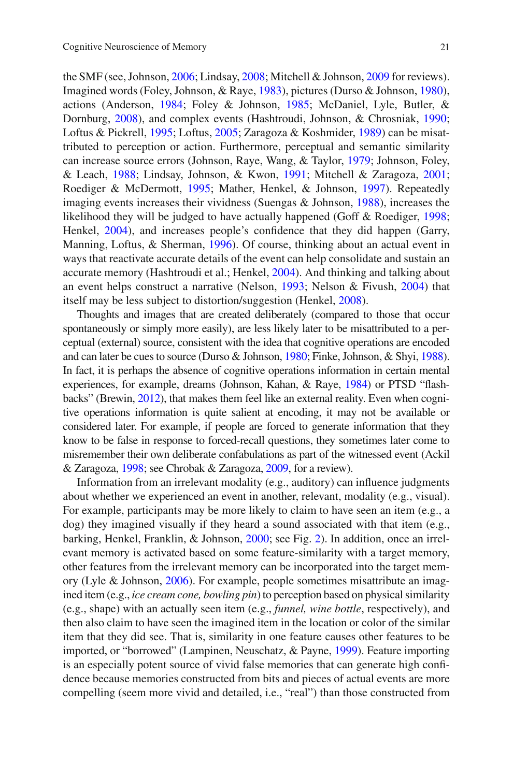the SMF (see, Johnson, 2006; Lindsay, [2008](#page-31-0); Mitchell & Johnson, [2009](#page-32-0) for reviews). Imagined words (Foley, Johnson, & Raye, 1983), pictures (Durso & Johnson, 1980), actions (Anderson, 1984; Foley & Johnson, [1985](#page-27-0); McDaniel, Lyle, Butler, & Dornburg, [2008](#page-32-0)), and complex events (Hashtroudi, Johnson, & Chrosniak, 1990; Loftus & Pickrell, [1995](#page-31-0); Loftus, [2005](#page-31-0); Zaragoza & Koshmider, [1989](#page-37-0)) can be misattributed to perception or action. Furthermore, perceptual and semantic similarity can increase source errors (Johnson, Raye, Wang, & Taylor, 1979; Johnson, Foley, & Leach, [1988](#page-29-0) ; Lindsay, Johnson, & Kwon, [1991 ;](#page-31-0) Mitchell & Zaragoza, [2001 ;](#page-32-0) Roediger & McDermott, 1995; Mather, Henkel, & Johnson, [1997](#page-32-0)). Repeatedly imaging events increases their vividness (Suengas  $\&$  Johnson, [1988](#page-35-0)), increases the likelihood they will be judged to have actually happened (Goff  $&$  Roediger, 1998; Henkel, 2004), and increases people's confidence that they did happen (Garry, Manning, Loftus,  $\&$  Sherman, 1996). Of course, thinking about an actual event in ways that reactivate accurate details of the event can help consolidate and sustain an accurate memory (Hashtroudi et al.; Henkel, [2004](#page-28-0)). And thinking and talking about an event helps construct a narrative (Nelson,  $1993$ ; Nelson & Fivush,  $2004$ ) that itself may be less subject to distortion/suggestion (Henkel, [2008](#page-28-0)).

 Thoughts and images that are created deliberately (compared to those that occur spontaneously or simply more easily), are less likely later to be misattributed to a perceptual (external) source, consistent with the idea that cognitive operations are encoded and can later be cues to source (Durso & Johnson,  $1980$ ; Finke, Johnson, & Shyi, 1988). In fact, it is perhaps the absence of cognitive operations information in certain mental experiences, for example, dreams (Johnson, Kahan,  $\&$  Raye, 1984) or PTSD "flash-backs" (Brewin, [2012](#page-25-0)), that makes them feel like an external reality. Even when cognitive operations information is quite salient at encoding, it may not be available or considered later. For example, if people are forced to generate information that they know to be false in response to forced-recall questions, they sometimes later come to misremember their own deliberate confabulations as part of the witnessed event (Ackil & Zaragoza, [1998](#page-23-0); see Chrobak & Zaragoza, [2009](#page-25-0), for a review).

Information from an irrelevant modality (e.g., auditory) can influence judgments about whether we experienced an event in another, relevant, modality (e.g., visual). For example, participants may be more likely to claim to have seen an item (e.g., a dog) they imagined visually if they heard a sound associated with that item (e.g., barking, Henkel, Franklin, & Johnson, 2000; see Fig. 2). In addition, once an irrelevant memory is activated based on some feature-similarity with a target memory, other features from the irrelevant memory can be incorporated into the target memory (Lyle  $&$  Johnson, 2006). For example, people sometimes misattribute an imagined item (e.g., *ice cream cone, bowling pin* ) to perception based on physical similarity (e.g., shape) with an actually seen item (e.g., *funnel, wine bottle* , respectively), and then also claim to have seen the imagined item in the location or color of the similar item that they did see. That is, similarity in one feature causes other features to be imported, or "borrowed" (Lampinen, Neuschatz, & Payne, [1999](#page-30-0)). Feature importing is an especially potent source of vivid false memories that can generate high confidence because memories constructed from bits and pieces of actual events are more compelling (seem more vivid and detailed, i.e., "real") than those constructed from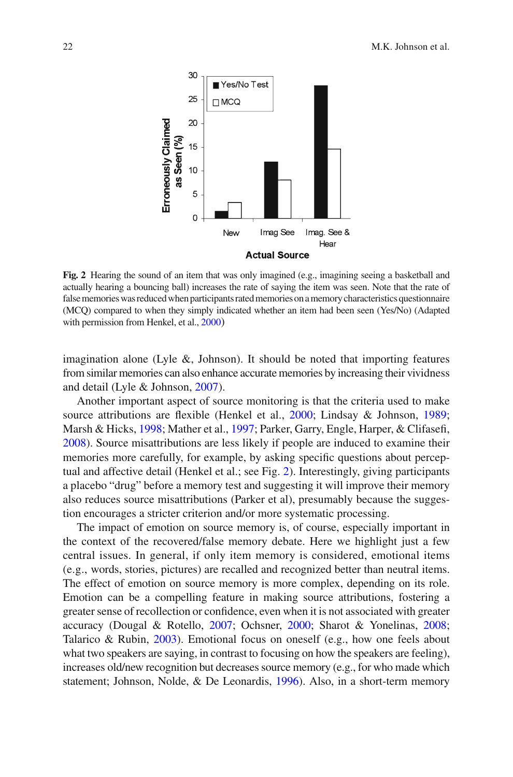<span id="page-7-0"></span>

 **Fig. 2** Hearing the sound of an item that was only imagined (e.g., imagining seeing a basketball and actually hearing a bouncing ball) increases the rate of saying the item was seen. Note that the rate of false memories was reduced when participants rated memories on a memory characteristics questionnaire (MCQ) compared to when they simply indicated whether an item had been seen (Yes/No) (Adapted with permission from Henkel, et al., [2000](#page-28-0))

imagination alone (Lyle &, Johnson). It should be noted that importing features from similar memories can also enhance accurate memories by increasing their vividness and detail (Lyle  $&$  Johnson, [2007](#page-31-0)).

 Another important aspect of source monitoring is that the criteria used to make source attributions are flexible (Henkel et al., [2000](#page-28-0); Lindsay & Johnson, 1989; Marsh & Hicks, 1998; Mather et al., 1997; Parker, Garry, Engle, Harper, & Clifasefi, 2008). Source misattributions are less likely if people are induced to examine their memories more carefully, for example, by asking specific questions about perceptual and affective detail (Henkel et al.; see Fig. 2). Interestingly, giving participants a placebo "drug" before a memory test and suggesting it will improve their memory also reduces source misattributions (Parker et al), presumably because the suggestion encourages a stricter criterion and/or more systematic processing.

 The impact of emotion on source memory is, of course, especially important in the context of the recovered/false memory debate. Here we highlight just a few central issues. In general, if only item memory is considered, emotional items (e.g., words, stories, pictures) are recalled and recognized better than neutral items. The effect of emotion on source memory is more complex, depending on its role. Emotion can be a compelling feature in making source attributions, fostering a greater sense of recollection or confidence, even when it is not associated with greater accuracy (Dougal & Rotello, [2007](#page-27-0); Ochsner, [2000](#page-33-0); Sharot & Yonelinas, 2008; Talarico & Rubin, 2003). Emotional focus on oneself (e.g., how one feels about what two speakers are saying, in contrast to focusing on how the speakers are feeling), increases old/new recognition but decreases source memory (e.g., for who made which statement; Johnson, Nolde, & De Leonardis, [1996](#page-29-0)). Also, in a short-term memory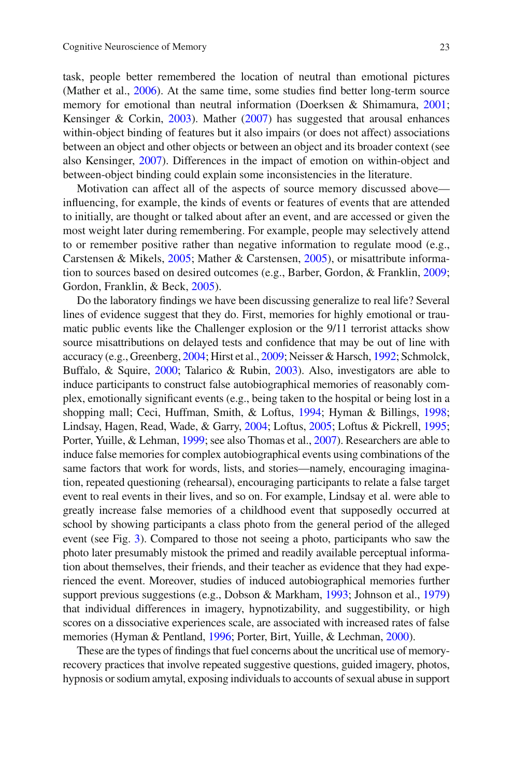task, people better remembered the location of neutral than emotional pictures (Mather et al.,  $2006$ ). At the same time, some studies find better long-term source memory for emotional than neutral information (Doerksen & Shimamura,  $2001$ ; Kensinger & Corkin,  $2003$ ). Mather  $(2007)$  has suggested that arousal enhances within-object binding of features but it also impairs (or does not affect) associations between an object and other objects or between an object and its broader context (see also Kensinger, 2007). Differences in the impact of emotion on within-object and between-object binding could explain some inconsistencies in the literature.

 Motivation can affect all of the aspects of source memory discussed above influencing, for example, the kinds of events or features of events that are attended to initially, are thought or talked about after an event, and are accessed or given the most weight later during remembering. For example, people may selectively attend to or remember positive rather than negative information to regulate mood (e.g., Carstensen & Mikels, 2005; Mather & Carstensen, 2005), or misattribute information to sources based on desired outcomes (e.g., Barber, Gordon, & Franklin, [2009 ;](#page-24-0) Gordon, Franklin, & Beck, [2005](#page-28-0)).

Do the laboratory findings we have been discussing generalize to real life? Several lines of evidence suggest that they do. First, memories for highly emotional or traumatic public events like the Challenger explosion or the 9/11 terrorist attacks show source misattributions on delayed tests and confidence that may be out of line with accuracy (e.g., Greenberg, [2004](#page-28-0); Hirst et al., [2009](#page-28-0); Neisser & Harsch, [1992](#page-32-0); Schmolck, Buffalo, & Squire, [2000](#page-34-0); Talarico & Rubin, [2003](#page-35-0)). Also, investigators are able to induce participants to construct false autobiographical memories of reasonably complex, emotionally significant events (e.g., being taken to the hospital or being lost in a shopping mall; Ceci, Huffman, Smith, & Loftus, [1994](#page-25-0); Hyman & Billings, 1998; Lindsay, Hagen, Read, Wade, & Garry, [2004](#page-31-0); Loftus, [2005](#page-31-0); Loftus & Pickrell, 1995; Porter, Yuille, & Lehman, [1999](#page-33-0); see also Thomas et al., 2007). Researchers are able to induce false memories for complex autobiographical events using combinations of the same factors that work for words, lists, and stories—namely, encouraging imagination, repeated questioning (rehearsal), encouraging participants to relate a false target event to real events in their lives, and so on. For example, Lindsay et al. were able to greatly increase false memories of a childhood event that supposedly occurred at school by showing participants a class photo from the general period of the alleged event (see Fig. [3](#page-9-0)). Compared to those not seeing a photo, participants who saw the photo later presumably mistook the primed and readily available perceptual information about themselves, their friends, and their teacher as evidence that they had experienced the event. Moreover, studies of induced autobiographical memories further support previous suggestions (e.g., Dobson & Markham, [1993](#page-26-0); Johnson et al., [1979](#page-30-0)) that individual differences in imagery, hypnotizability, and suggestibility, or high scores on a dissociative experiences scale, are associated with increased rates of false memories (Hyman & Pentland, [1996](#page-29-0); Porter, Birt, Yuille, & Lechman, 2000).

These are the types of findings that fuel concerns about the uncritical use of memoryrecovery practices that involve repeated suggestive questions, guided imagery, photos, hypnosis or sodium amytal, exposing individuals to accounts of sexual abuse in support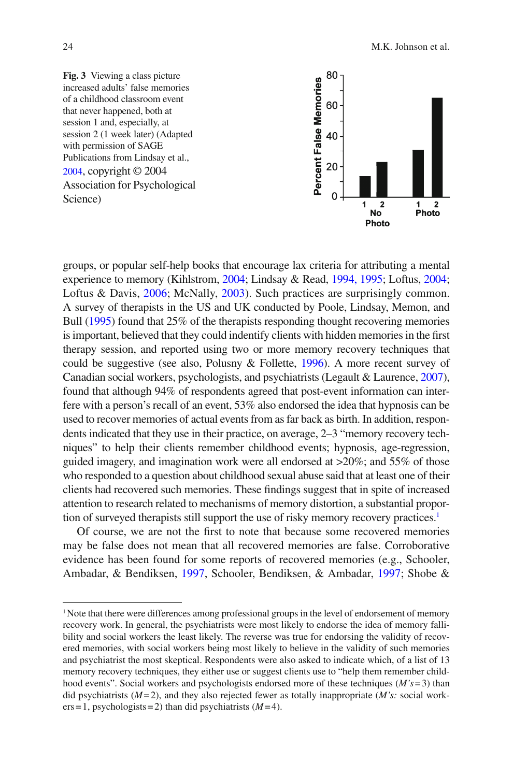<span id="page-9-0"></span>



groups, or popular self-help books that encourage lax criteria for attributing a mental experience to memory (Kihlstrom, [2004](#page-30-0); Lindsay & Read, 1994, 1995; Loftus, 2004; Loftus & Davis,  $2006$ ; McNally,  $2003$ ). Such practices are surprisingly common. A survey of therapists in the US and UK conducted by Poole, Lindsay, Memon, and Bull (1995) found that 25% of the therapists responding thought recovering memories is important, believed that they could indentify clients with hidden memories in the first therapy session, and reported using two or more memory recovery techniques that could be suggestive (see also, Polusny  $\&$  Follette, [1996](#page-33-0)). A more recent survey of Canadian social workers, psychologists, and psychiatrists (Legault & Laurence, 2007), found that although 94% of respondents agreed that post-event information can interfere with a person's recall of an event, 53% also endorsed the idea that hypnosis can be used to recover memories of actual events from as far back as birth. In addition, respondents indicated that they use in their practice, on average, 2–3 "memory recovery techniques" to help their clients remember childhood events; hypnosis, age-regression, guided imagery, and imagination work were all endorsed at >20%; and 55% of those who responded to a question about childhood sexual abuse said that at least one of their clients had recovered such memories. These findings suggest that in spite of increased attention to research related to mechanisms of memory distortion, a substantial proportion of surveyed therapists still support the use of risky memory recovery practices.<sup>1</sup>

Of course, we are not the first to note that because some recovered memories may be false does not mean that all recovered memories are false. Corroborative evidence has been found for some reports of recovered memories (e.g., Schooler, Ambadar, & Bendiksen, [1997](#page-34-0), Schooler, Bendiksen, & Ambadar, 1997; Shobe &

<sup>&</sup>lt;sup>1</sup> Note that there were differences among professional groups in the level of endorsement of memory recovery work. In general, the psychiatrists were most likely to endorse the idea of memory fallibility and social workers the least likely. The reverse was true for endorsing the validity of recovered memories, with social workers being most likely to believe in the validity of such memories and psychiatrist the most skeptical. Respondents were also asked to indicate which, of a list of 13 memory recovery techniques, they either use or suggest clients use to "help them remember childhood events". Social workers and psychologists endorsed more of these techniques  $(M's=3)$  than did psychiatrists  $(M=2)$ , and they also rejected fewer as totally inappropriate  $(M's: \text{ social work}$  $ers = 1$ , psychologists = 2) than did psychiatrists ( $M = 4$ ).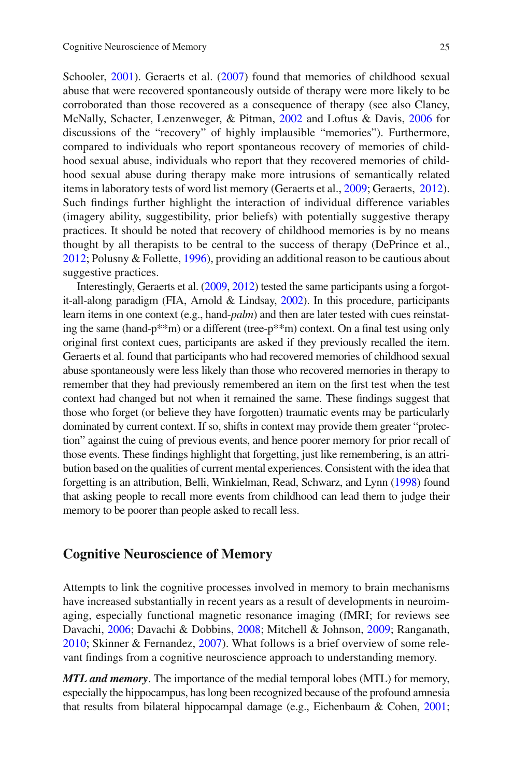Schooler, [2001](#page-35-0)). Geraerts et al. (2007) found that memories of childhood sexual abuse that were recovered spontaneously outside of therapy were more likely to be corroborated than those recovered as a consequence of therapy (see also Clancy, McNally, Schacter, Lenzenweger, & Pitman, [2002](#page-25-0) and Loftus & Davis, [2006](#page-31-0) for discussions of the "recovery" of highly implausible "memories"). Furthermore, compared to individuals who report spontaneous recovery of memories of childhood sexual abuse, individuals who report that they recovered memories of childhood sexual abuse during therapy make more intrusions of semantically related items in laboratory tests of word list memory (Geraerts et al., 2009; Geraerts, 2012). Such findings further highlight the interaction of individual difference variables (imagery ability, suggestibility, prior beliefs) with potentially suggestive therapy practices. It should be noted that recovery of childhood memories is by no means thought by all therapists to be central to the success of therapy (DePrince et al., 2012; Polusny & Follette,  $1996$ , providing an additional reason to be cautious about suggestive practices.

Interestingly, Geraerts et al. (2009, 2012) tested the same participants using a forgotit-all-along paradigm (FIA, Arnold  $&$  Lindsay, 2002). In this procedure, participants learn items in one context (e.g., hand-*palm*) and then are later tested with cues reinstating the same (hand-p\*\*m) or a different (tree-p\*\*m) context. On a final test using only original first context cues, participants are asked if they previously recalled the item. Geraerts et al. found that participants who had recovered memories of childhood sexual abuse spontaneously were less likely than those who recovered memories in therapy to remember that they had previously remembered an item on the first test when the test context had changed but not when it remained the same. These findings suggest that those who forget (or believe they have forgotten) traumatic events may be particularly dominated by current context. If so, shifts in context may provide them greater "protection" against the cuing of previous events, and hence poorer memory for prior recall of those events. These findings highlight that forgetting, just like remembering, is an attribution based on the qualities of current mental experiences. Consistent with the idea that forgetting is an attribution, Belli, Winkielman, Read, Schwarz, and Lynn [\( 1998](#page-24-0) ) found that asking people to recall more events from childhood can lead them to judge their memory to be poorer than people asked to recall less.

#### **Cognitive Neuroscience of Memory**

 Attempts to link the cognitive processes involved in memory to brain mechanisms have increased substantially in recent years as a result of developments in neuroimaging, especially functional magnetic resonance imaging (fMRI; for reviews see Davachi, [2006](#page-26-0); Davachi & Dobbins, [2008](#page-26-0); Mitchell & Johnson, 2009; Ranganath, 2010; Skinner & Fernandez,  $2007$ ). What follows is a brief overview of some relevant findings from a cognitive neuroscience approach to understanding memory.

*MTL and memory* . The importance of the medial temporal lobes (MTL) for memory, especially the hippocampus, has long been recognized because of the profound amnesia that results from bilateral hippocampal damage (e.g., Eichenbaum & Cohen,  $2001$ ;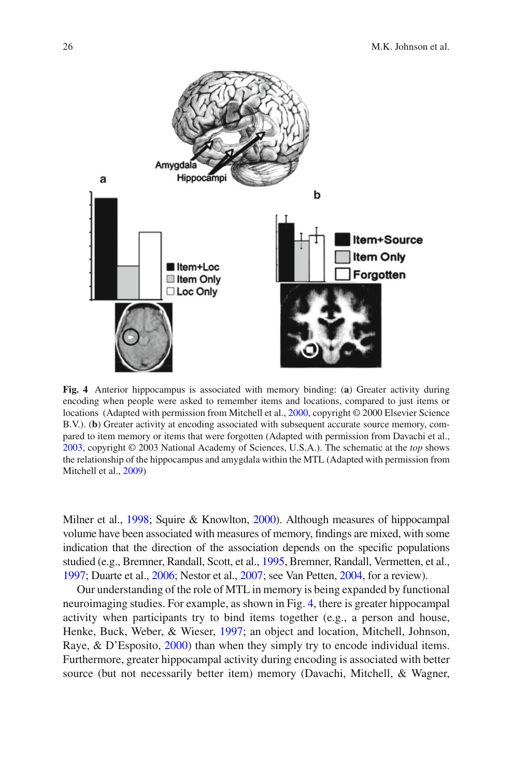<span id="page-11-0"></span>

 **Fig. 4** Anterior hippocampus is associated with memory binding: ( **a** ) Greater activity during encoding when people were asked to remember items and locations, compared to just items or locations (Adapted with permission from Mitchell et al., [2000](#page-32-0), copyright © 2000 Elsevier Science B.V.). ( **b** ) Greater activity at encoding associated with subsequent accurate source memory, compared to item memory or items that were forgotten (Adapted with permission from Davachi et al., [2003 ,](#page-26-0) copyright © 2003 National Academy of Sciences, U.S.A.). The schematic at the *top* shows the relationship of the hippocampus and amygdala within the MTL (Adapted with permission from Mitchell et al., 2009)

Milner et al., 1998; Squire & Knowlton,  $2000$ ). Although measures of hippocampal volume have been associated with measures of memory, findings are mixed, with some indication that the direction of the association depends on the specific populations studied (e.g., Bremner, Randall, Scott, et al., [1995 ,](#page-25-0) Bremner, Randall, Vermetten, et al., [1997](#page-25-0); Duarte et al., 2006; Nestor et al., [2007](#page-32-0); see Van Petten, 2004, for a review).

 Our understanding of the role of MTL in memory is being expanded by functional neuroimaging studies. For example, as shown in Fig. 4 , there is greater hippocampal activity when participants try to bind items together (e.g., a person and house, Henke, Buck, Weber, & Wieser, [1997](#page-28-0) ; an object and location, Mitchell, Johnson, Raye, & D'Esposito, 2000) than when they simply try to encode individual items. Furthermore, greater hippocampal activity during encoding is associated with better source (but not necessarily better item) memory (Davachi, Mitchell, & Wagner,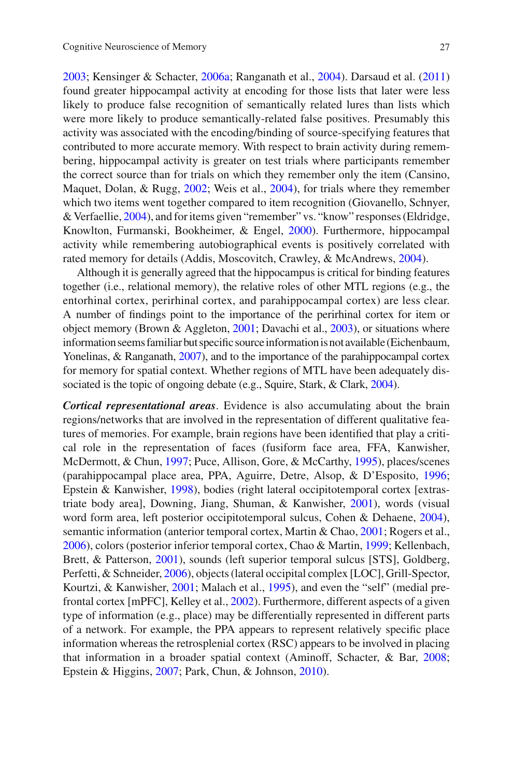2003; Kensinger & Schacter, 2006a; Ranganath et al., [2004](#page-34-0)). Darsaud et al. (2011) found greater hippocampal activity at encoding for those lists that later were less likely to produce false recognition of semantically related lures than lists which were more likely to produce semantically-related false positives. Presumably this activity was associated with the encoding/binding of source-specifying features that contributed to more accurate memory. With respect to brain activity during remembering, hippocampal activity is greater on test trials where participants remember the correct source than for trials on which they remember only the item (Cansino, Maquet, Dolan,  $\&$  Rugg, 2002; Weis et al., [2004](#page-36-0)), for trials where they remember which two items went together compared to item recognition (Giovanello, Schnyer, & Verfaellie, [2004 \)](#page-27-0) , and for items given "remember" vs. "know" responses (Eldridge, Knowlton, Furmanski, Bookheimer, & Engel, [2000](#page-27-0)). Furthermore, hippocampal activity while remembering autobiographical events is positively correlated with rated memory for details (Addis, Moscovitch, Crawley, & McAndrews, 2004).

 Although it is generally agreed that the hippocampus is critical for binding features together (i.e., relational memory), the relative roles of other MTL regions (e.g., the entorhinal cortex, perirhinal cortex, and parahippocampal cortex) are less clear. A number of findings point to the importance of the perirhinal cortex for item or object memory (Brown & Aggleton,  $2001$ ; Davachi et al.,  $2003$ ), or situations where information seems familiar but specific source information is not available (Eichenbaum, Yonelinas,  $\&$  Ranganath, 2007), and to the importance of the parahippocampal cortex for memory for spatial context. Whether regions of MTL have been adequately dis-sociated is the topic of ongoing debate (e.g., Squire, Stark, & Clark, [2004](#page-35-0)).

*Cortical representational areas* . Evidence is also accumulating about the brain regions/networks that are involved in the representation of different qualitative features of memories. For example, brain regions have been identified that play a critical role in the representation of faces (fusiform face area, FFA, Kanwisher, McDermott, & Chun, [1997](#page-30-0); Puce, Allison, Gore, & McCarthy, 1995), places/scenes (parahippocampal place area, PPA, Aguirre, Detre, Alsop, & D'Esposito, 1996; Epstein & Kanwisher,  $1998$ ), bodies (right lateral occipitotemporal cortex [extras-triate body area], Downing, Jiang, Shuman, & Kanwisher, [2001](#page-27-0)), words (visual word form area, left posterior occipitotemporal sulcus, Cohen & Dehaene,  $2004$ ), semantic information (anterior temporal cortex, Martin & Chao, 2001; Rogers et al., 2006), colors (posterior inferior temporal cortex, Chao & Martin, 1999; Kellenbach, Brett, & Patterson, [2001](#page-30-0)), sounds (left superior temporal sulcus [STS], Goldberg, Perfetti, & Schneider, 2006), objects (lateral occipital complex [LOC], Grill-Spector, Kourtzi, & Kanwisher, [2001](#page-28-0); Malach et al., 1995), and even the "self" (medial prefrontal cortex [mPFC], Kelley et al., [2002 \)](#page-30-0) . Furthermore, different aspects of a given type of information (e.g., place) may be differentially represented in different parts of a network. For example, the PPA appears to represent relatively specific place information whereas the retrosplenial cortex (RSC) appears to be involved in placing that information in a broader spatial context (Aminoff, Schacter, & Bar, 2008; Epstein & Higgins,  $2007$ ; Park, Chun, & Johnson,  $2010$ ).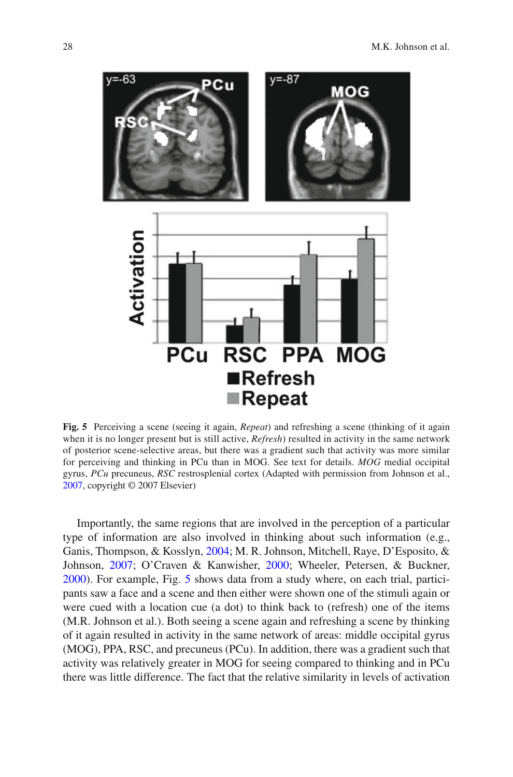<span id="page-13-0"></span>

 **Fig. 5** Perceiving a scene (seeing it again, *Repeat* ) and refreshing a scene (thinking of it again when it is no longer present but is still active, *Refresh*) resulted in activity in the same network of posterior scene-selective areas, but there was a gradient such that activity was more similar for perceiving and thinking in PCu than in MOG. See text for details. *MOG* medial occipital gyrus, *PCu* precuneus, *RSC* restrosplenial cortex (Adapted with permission from Johnson et al., [2007 ,](#page-29-0) copyright © 2007 Elsevier)

 Importantly, the same regions that are involved in the perception of a particular type of information are also involved in thinking about such information (e.g., Ganis, Thompson, & Kosslyn, 2004; M. R. Johnson, Mitchell, Raye, D'Esposito, & Johnson, 2007; O'Craven & Kanwisher, 2000; Wheeler, Petersen, & Buckner, 2000). For example, Fig. 5 shows data from a study where, on each trial, participants saw a face and a scene and then either were shown one of the stimuli again or were cued with a location cue (a dot) to think back to (refresh) one of the items (M.R. Johnson et al.). Both seeing a scene again and refreshing a scene by thinking of it again resulted in activity in the same network of areas: middle occipital gyrus (MOG), PPA, RSC, and precuneus (PCu). In addition, there was a gradient such that activity was relatively greater in MOG for seeing compared to thinking and in PCu there was little difference. The fact that the relative similarity in levels of activation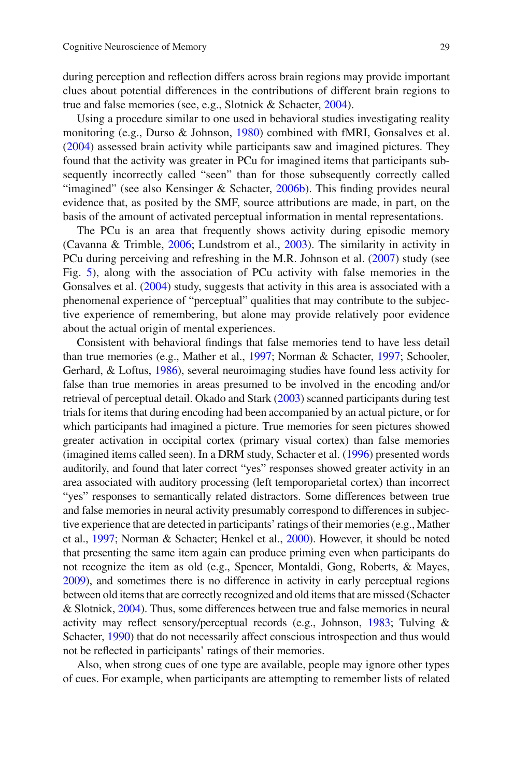during perception and reflection differs across brain regions may provide important clues about potential differences in the contributions of different brain regions to true and false memories (see, e.g., Slotnick  $&$  Schacter, 2004).

 Using a procedure similar to one used in behavioral studies investigating reality monitoring (e.g., Durso & Johnson, [1980](#page-27-0) ) combined with fMRI, Gonsalves et al. (2004) assessed brain activity while participants saw and imagined pictures. They found that the activity was greater in PCu for imagined items that participants subsequently incorrectly called "seen" than for those subsequently correctly called "imagined" (see also Kensinger & Schacter, 2006b). This finding provides neural evidence that, as posited by the SMF, source attributions are made, in part, on the basis of the amount of activated perceptual information in mental representations.

 The PCu is an area that frequently shows activity during episodic memory (Cavanna & Trimble,  $2006$ ; Lundstrom et al.,  $2003$ ). The similarity in activity in PCu during perceiving and refreshing in the M.R. Johnson et al. (2007) study (see Fig. [5](#page-13-0) ), along with the association of PCu activity with false memories in the Gonsalves et al. (2004) study, suggests that activity in this area is associated with a phenomenal experience of "perceptual" qualities that may contribute to the subjective experience of remembering, but alone may provide relatively poor evidence about the actual origin of mental experiences.

Consistent with behavioral findings that false memories tend to have less detail than true memories (e.g., Mather et al., [1997 ;](#page-32-0) Norman & Schacter, [1997 ;](#page-33-0) Schooler, Gerhard, & Loftus, [1986](#page-34-0)), several neuroimaging studies have found less activity for false than true memories in areas presumed to be involved in the encoding and/or retrieval of perceptual detail. Okado and Stark [\( 2003 \)](#page-33-0) scanned participants during test trials for items that during encoding had been accompanied by an actual picture, or for which participants had imagined a picture. True memories for seen pictures showed greater activation in occipital cortex (primary visual cortex) than false memories (imagined items called seen). In a DRM study, Schacter et al. ( [1996](#page-34-0) ) presented words auditorily, and found that later correct "yes" responses showed greater activity in an area associated with auditory processing (left temporoparietal cortex) than incorrect "yes" responses to semantically related distractors. Some differences between true and false memories in neural activity presumably correspond to differences in subjective experience that are detected in participants' ratings of their memories (e.g., Mather et al., [1997](#page-32-0) ; Norman & Schacter; Henkel et al., [2000 \)](#page-28-0) . However, it should be noted that presenting the same item again can produce priming even when participants do not recognize the item as old (e.g., Spencer, Montaldi, Gong, Roberts, & Mayes, [2009](#page-35-0)), and sometimes there is no difference in activity in early perceptual regions between old items that are correctly recognized and old items that are missed (Schacter & Slotnick, 2004). Thus, some differences between true and false memories in neural activity may reflect sensory/perceptual records (e.g., Johnson, 1983; Tulving  $\&$ Schacter, 1990) that do not necessarily affect conscious introspection and thus would not be reflected in participants' ratings of their memories.

 Also, when strong cues of one type are available, people may ignore other types of cues. For example, when participants are attempting to remember lists of related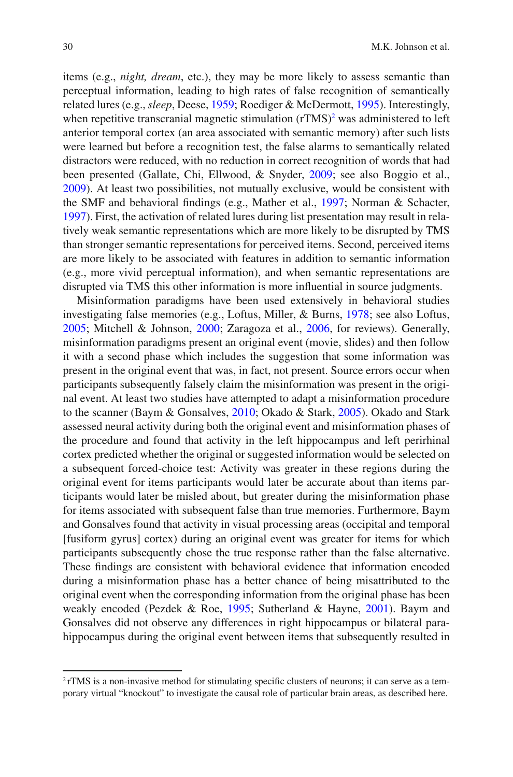items (e.g., *night, dream*, etc.), they may be more likely to assess semantic than perceptual information, leading to high rates of false recognition of semantically related lures (e.g., *sleep* , Deese, [1959 ;](#page-26-0) Roediger & McDermott, [1995](#page-34-0) ) . Interestingly, when repetitive transcranial magnetic stimulation  $(rTMS)^2$  was administered to left anterior temporal cortex (an area associated with semantic memory) after such lists were learned but before a recognition test, the false alarms to semantically related distractors were reduced, with no reduction in correct recognition of words that had been presented (Gallate, Chi, Ellwood, & Snyder, [2009 ;](#page-27-0) see also Boggio et al., 2009). At least two possibilities, not mutually exclusive, would be consistent with the SMF and behavioral findings (e.g., Mather et al., [1997](#page-32-0); Norman  $\&$  Schacter, 1997). First, the activation of related lures during list presentation may result in relatively weak semantic representations which are more likely to be disrupted by TMS than stronger semantic representations for perceived items. Second, perceived items are more likely to be associated with features in addition to semantic information (e.g., more vivid perceptual information), and when semantic representations are disrupted via TMS this other information is more influential in source judgments.

 Misinformation paradigms have been used extensively in behavioral studies investigating false memories (e.g., Loftus, Miller, & Burns, 1978; see also Loftus,  $2005$ ; Mitchell & Johnson,  $2000$ ; Zaragoza et al.,  $2006$ , for reviews). Generally, misinformation paradigms present an original event (movie, slides) and then follow it with a second phase which includes the suggestion that some information was present in the original event that was, in fact, not present. Source errors occur when participants subsequently falsely claim the misinformation was present in the original event. At least two studies have attempted to adapt a misinformation procedure to the scanner (Baym & Gonsalves,  $2010$ ; Okado & Stark,  $2005$ ). Okado and Stark assessed neural activity during both the original event and misinformation phases of the procedure and found that activity in the left hippocampus and left perirhinal cortex predicted whether the original or suggested information would be selected on a subsequent forced-choice test: Activity was greater in these regions during the original event for items participants would later be accurate about than items participants would later be misled about, but greater during the misinformation phase for items associated with subsequent false than true memories. Furthermore, Baym and Gonsalves found that activity in visual processing areas (occipital and temporal [fusiform gyrus] cortex) during an original event was greater for items for which participants subsequently chose the true response rather than the false alternative. These findings are consistent with behavioral evidence that information encoded during a misinformation phase has a better chance of being misattributed to the original event when the corresponding information from the original phase has been weakly encoded (Pezdek & Roe,  $1995$ ; Sutherland & Hayne, [2001](#page-35-0)). Baym and Gonsalves did not observe any differences in right hippocampus or bilateral parahippocampus during the original event between items that subsequently resulted in

 $2 \text{ rTMS}$  is a non-invasive method for stimulating specific clusters of neurons; it can serve as a temporary virtual "knockout" to investigate the causal role of particular brain areas, as described here.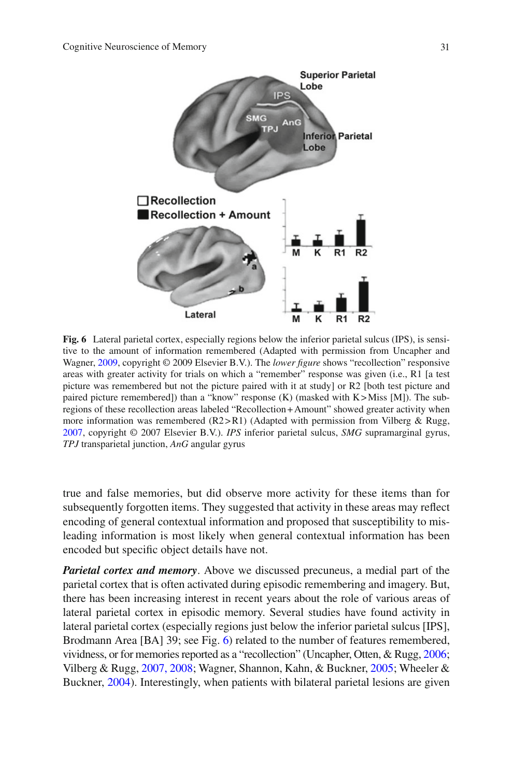

 **Fig. 6** Lateral parietal cortex, especially regions below the inferior parietal sulcus (IPS), is sensitive to the amount of information remembered (Adapted with permission from Uncapher and Wagner, 2009, copyright © 2009 Elsevier B.V.). The *lower figure* shows "recollection" responsive areas with greater activity for trials on which a "remember" response was given (i.e., R1 [a test picture was remembered but not the picture paired with it at study] or R2 [both test picture and paired picture remembered]) than a "know" response  $(K)$  (masked with  $K >$  Miss  $[M]$ ). The subregions of these recollection areas labeled "Recollection + Amount" showed greater activity when more information was remembered  $(R2 > R1)$  (Adapted with permission from Vilberg & Rugg, [2007 ,](#page-36-0) copyright © 2007 Elsevier B.V.) . *IPS* inferior parietal sulcus, *SMG* supramarginal gyrus, *TPJ* transparietal junction, *AnG* angular gyrus

true and false memories, but did observe more activity for these items than for subsequently forgotten items. They suggested that activity in these areas may reflect encoding of general contextual information and proposed that susceptibility to misleading information is most likely when general contextual information has been encoded but specific object details have not.

*Parietal cortex and memory* . Above we discussed precuneus, a medial part of the parietal cortex that is often activated during episodic remembering and imagery. But, there has been increasing interest in recent years about the role of various areas of lateral parietal cortex in episodic memory. Several studies have found activity in lateral parietal cortex (especially regions just below the inferior parietal sulcus [IPS], Brodmann Area [BA] 39; see Fig. 6) related to the number of features remembered, vividness, or for memories reported as a "recollection" (Uncapher, Otten, & Rugg, 2006; Vilberg & Rugg, [2007, 2008](#page-36-0); Wagner, Shannon, Kahn, & Buckner, [2005](#page-36-0); Wheeler & Buckner, 2004). Interestingly, when patients with bilateral parietal lesions are given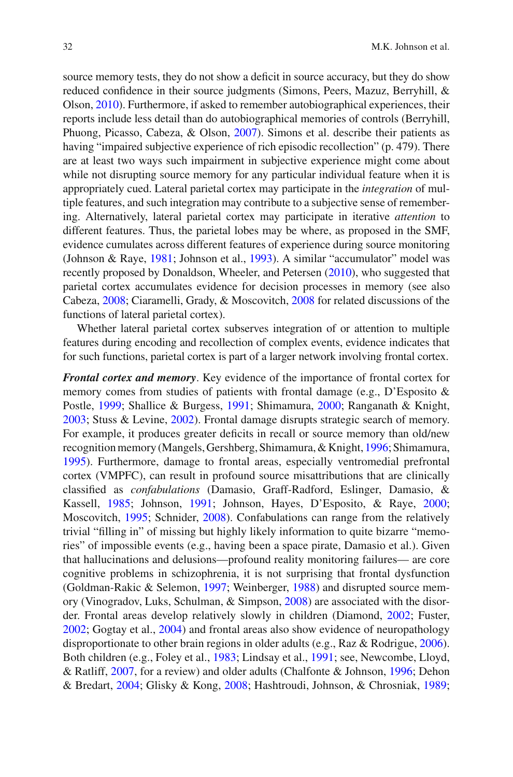source memory tests, they do not show a deficit in source accuracy, but they do show reduced confidence in their source judgments (Simons, Peers, Mazuz, Berryhill, & Olson, [2010 \)](#page-35-0) . Furthermore, if asked to remember autobiographical experiences, their reports include less detail than do autobiographical memories of controls (Berryhill, Phuong, Picasso, Cabeza, & Olson, [2007](#page-24-0) ) . Simons et al. describe their patients as having "impaired subjective experience of rich episodic recollection" (p. 479). There are at least two ways such impairment in subjective experience might come about while not disrupting source memory for any particular individual feature when it is appropriately cued. Lateral parietal cortex may participate in the *integration* of multiple features, and such integration may contribute to a subjective sense of remembering. Alternatively, lateral parietal cortex may participate in iterative *attention* to different features. Thus, the parietal lobes may be where, as proposed in the SMF, evidence cumulates across different features of experience during source monitoring (Johnson & Raye,  $1981$ ; Johnson et al., [1993](#page-29-0)). A similar "accumulator" model was recently proposed by Donaldson, Wheeler, and Petersen (2010), who suggested that parietal cortex accumulates evidence for decision processes in memory (see also Cabeza, 2008; Ciaramelli, Grady, & Moscovitch, [2008](#page-25-0) for related discussions of the functions of lateral parietal cortex).

 Whether lateral parietal cortex subserves integration of or attention to multiple features during encoding and recollection of complex events, evidence indicates that for such functions, parietal cortex is part of a larger network involving frontal cortex.

*Frontal cortex and memory* . Key evidence of the importance of frontal cortex for memory comes from studies of patients with frontal damage (e.g., D'Esposito & Postle, [1999](#page-26-0); Shallice & Burgess, [1991](#page-34-0); Shimamura, [2000](#page-35-0); Ranganath & Knight,  $2003$ ; Stuss & Levine,  $2002$ ). Frontal damage disrupts strategic search of memory. For example, it produces greater deficits in recall or source memory than old/new recognition memory (Mangels, Gershberg, Shimamura, & Knight, [1996 ;](#page-31-0) Shimamura, 1995). Furthermore, damage to frontal areas, especially ventromedial prefrontal cortex (VMPFC), can result in profound source misattributions that are clinically classifi ed as *confabulations* (Damasio, Graff-Radford, Eslinger, Damasio, & Kassell, 1985; Johnson, [1991](#page-29-0); Johnson, Hayes, D'Esposito, & Raye, 2000; Moscovitch, 1995; Schnider, 2008). Confabulations can range from the relatively trivial "filling in" of missing but highly likely information to quite bizarre "memories" of impossible events (e.g., having been a space pirate, Damasio et al.). Given that hallucinations and delusions—profound reality monitoring failures— are core cognitive problems in schizophrenia, it is not surprising that frontal dysfunction (Goldman-Rakic & Selemon, [1997](#page-28-0); Weinberger, 1988) and disrupted source memory (Vinogradov, Luks, Schulman, & Simpson, [2008 \)](#page-36-0) are associated with the disorder. Frontal areas develop relatively slowly in children (Diamond, 2002; Fuster, 2002; Gogtay et al., [2004](#page-28-0)) and frontal areas also show evidence of neuropathology disproportionate to other brain regions in older adults (e.g., Raz & Rodrigue, 2006). Both children (e.g., Foley et al., [1983](#page-27-0); Lindsay et al., [1991](#page-31-0); see, Newcombe, Lloyd, & Ratliff, [2007](#page-32-0) , for a review) and older adults (Chalfonte & Johnson, [1996 ;](#page-25-0) Dehon & Bredart, 2004; Glisky & Kong, [2008](#page-27-0); Hashtroudi, Johnson, & Chrosniak, 1989;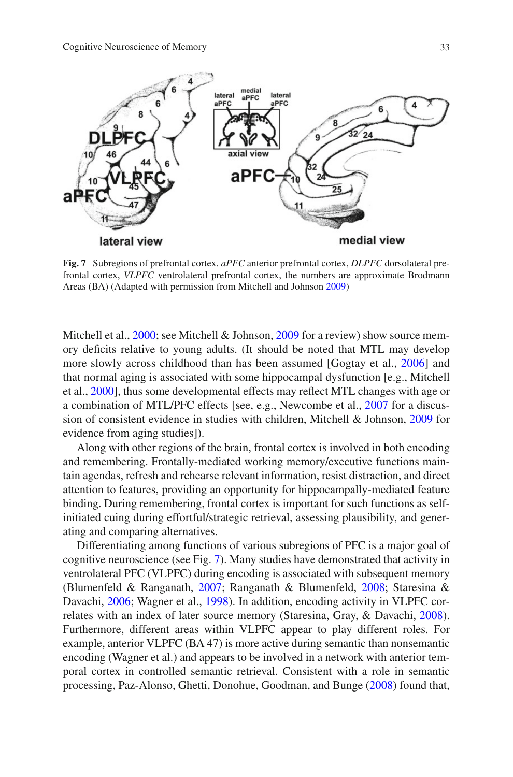![](_page_18_Figure_1.jpeg)

 **Fig. 7** Subregions of prefrontal cortex. *aPFC* anterior prefrontal cortex, *DLPFC* dorsolateral prefrontal cortex, *VLPFC* ventrolateral prefrontal cortex, the numbers are approximate Brodmann Areas (BA) (Adapted with permission from Mitchell and Johnson [2009](#page-32-0))

Mitchell et al., [2000](#page-32-0); see Mitchell & Johnson, [2009](#page-32-0) for a review) show source memory deficits relative to young adults. (It should be noted that MTL may develop more slowly across childhood than has been assumed [Gogtay et al., [2006](#page-28-0)] and that normal aging is associated with some hippocampal dysfunction [e.g., Mitchell et al., 2000], thus some developmental effects may reflect MTL changes with age or a combination of MTL/PFC effects [see, e.g., Newcombe et al., [2007](#page-32-0) for a discussion of consistent evidence in studies with children, Mitchell & Johnson, [2009](#page-32-0) for evidence from aging studies]).

 Along with other regions of the brain, frontal cortex is involved in both encoding and remembering. Frontally-mediated working memory/executive functions maintain agendas, refresh and rehearse relevant information, resist distraction, and direct attention to features, providing an opportunity for hippocampally-mediated feature binding. During remembering, frontal cortex is important for such functions as selfinitiated cuing during effortful/strategic retrieval, assessing plausibility, and generating and comparing alternatives.

 Differentiating among functions of various subregions of PFC is a major goal of cognitive neuroscience (see Fig. 7). Many studies have demonstrated that activity in ventrolateral PFC (VLPFC) during encoding is associated with subsequent memory (Blumenfeld & Ranganath, [2007](#page-24-0); Ranganath & Blumenfeld, 2008; Staresina & Davachi, 2006; Wagner et al., 1998). In addition, encoding activity in VLPFC correlates with an index of later source memory (Staresina, Gray, & Davachi, 2008). Furthermore, different areas within VLPFC appear to play different roles. For example, anterior VLPFC (BA 47) is more active during semantic than nonsemantic encoding (Wagner et al.) and appears to be involved in a network with anterior temporal cortex in controlled semantic retrieval. Consistent with a role in semantic processing, Paz-Alonso, Ghetti, Donohue, Goodman, and Bunge ( [2008 \)](#page-33-0) found that,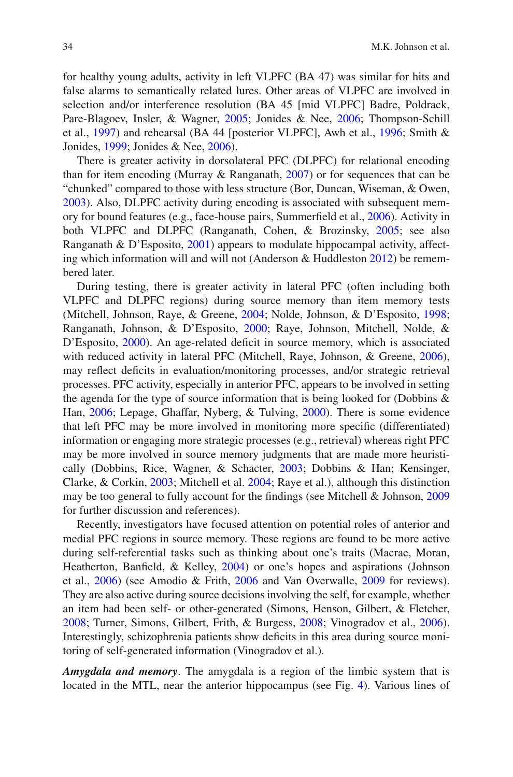for healthy young adults, activity in left VLPFC (BA 47) was similar for hits and false alarms to semantically related lures. Other areas of VLPFC are involved in selection and/or interference resolution (BA 45 [mid VLPFC] Badre, Poldrack, Pare-Blagoev, Insler, & Wagner, 2005; Jonides & Nee, 2006; Thompson-Schill et al.,  $1997$ ) and rehearsal (BA 44 [posterior VLPFC], Awh et al.,  $1996$ ; Smith & Jonides, 1999; Jonides & Nee, [2006](#page-30-0)).

 There is greater activity in dorsolateral PFC (DLPFC) for relational encoding than for item encoding (Murray & Ranganath,  $2007$ ) or for sequences that can be "chunked" compared to those with less structure (Bor, Duncan, Wiseman, & Owen, 2003). Also, DLPFC activity during encoding is associated with subsequent memory for bound features (e.g., face-house pairs, Summerfield et al., 2006). Activity in both VLPFC and DLPFC (Ranganath, Cohen, & Brozinsky, [2005](#page-34-0); see also Ranganath & D'Esposito,  $2001$ ) appears to modulate hippocampal activity, affecting which information will and will not (Anderson  $&$  Huddleston 2012) be remembered later.

 During testing, there is greater activity in lateral PFC (often including both VLPFC and DLPFC regions) during source memory than item memory tests (Mitchell, Johnson, Raye, & Greene, [2004 ;](#page-32-0) Nolde, Johnson, & D'Esposito, [1998 ;](#page-33-0) Ranganath, Johnson, & D'Esposito, [2000](#page-34-0); Raye, Johnson, Mitchell, Nolde, &  $D'Esposito, 2000$ . An age-related deficit in source memory, which is associated with reduced activity in lateral PFC (Mitchell, Raye, Johnson,  $\&$  Greene, 2006), may reflect deficits in evaluation/monitoring processes, and/or strategic retrieval processes. PFC activity, especially in anterior PFC, appears to be involved in setting the agenda for the type of source information that is being looked for (Dobbins  $\&$ Han, 2006; Lepage, Ghaffar, Nyberg, & Tulving, [2000](#page-31-0)). There is some evidence that left PFC may be more involved in monitoring more specific (differentiated) information or engaging more strategic processes (e.g., retrieval) whereas right PFC may be more involved in source memory judgments that are made more heuristically (Dobbins, Rice, Wagner, & Schacter, 2003; Dobbins & Han; Kensinger, Clarke,  $\&$  Corkin, 2003; Mitchell et al. [2004](#page-32-0); Raye et al.), although this distinction may be too general to fully account for the findings (see Mitchell  $&$  Johnson, [2009](#page-32-0) for further discussion and references).

 Recently, investigators have focused attention on potential roles of anterior and medial PFC regions in source memory. These regions are found to be more active during self-referential tasks such as thinking about one's traits (Macrae, Moran, Heatherton, Banfield, & Kelley,  $2004$ ) or one's hopes and aspirations (Johnson et al., [2006 \)](#page-29-0) (see Amodio & Frith, [2006](#page-24-0) and Van Overwalle, [2009](#page-36-0) for reviews). They are also active during source decisions involving the self, for example, whether an item had been self- or other-generated (Simons, Henson, Gilbert, & Fletcher,  $2008$ ; Turner, Simons, Gilbert, Frith, & Burgess,  $2008$ ; Vinogradov et al.,  $2006$ ). Interestingly, schizophrenia patients show deficits in this area during source monitoring of self-generated information (Vinogradov et al.).

*Amygdala and memory* . The amygdala is a region of the limbic system that is located in the MTL, near the anterior hippocampus (see Fig. 4). Various lines of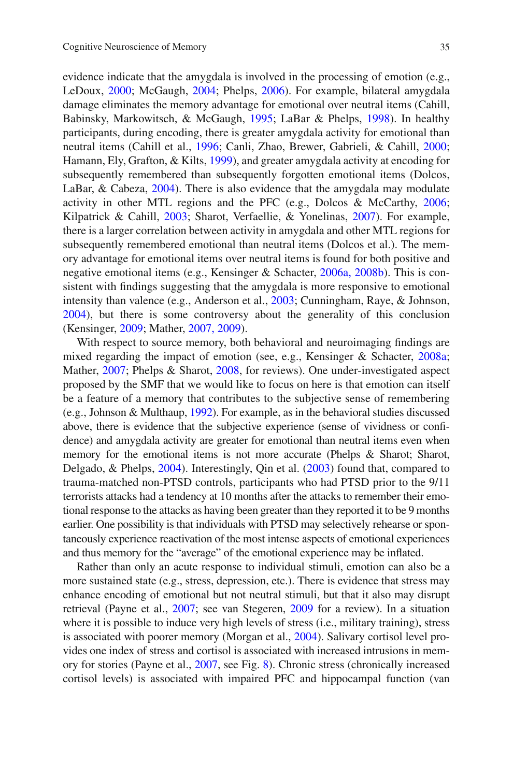evidence indicate that the amygdala is involved in the processing of emotion (e.g., LeDoux, 2000; McGaugh, 2004; Phelps, 2006). For example, bilateral amygdala damage eliminates the memory advantage for emotional over neutral items (Cahill, Babinsky, Markowitsch, & McGaugh, [1995](#page-25-0); LaBar & Phelps, [1998](#page-30-0)). In healthy participants, during encoding, there is greater amygdala activity for emotional than neutral items (Cahill et al., 1996; Canli, Zhao, Brewer, Gabrieli, & Cahill, 2000; Hamann, Ely, Grafton, & Kilts, [1999](#page-28-0) ) , and greater amygdala activity at encoding for subsequently remembered than subsequently forgotten emotional items (Dolcos, LaBar,  $\&$  Cabeza, 2004). There is also evidence that the amygdala may modulate activity in other MTL regions and the PFC (e.g., Dolcos & McCarthy,  $2006$ ; Kilpatrick & Cahill, 2003; Sharot, Verfaellie, & Yonelinas, [2007](#page-35-0)). For example, there is a larger correlation between activity in amygdala and other MTL regions for subsequently remembered emotional than neutral items (Dolcos et al.). The memory advantage for emotional items over neutral items is found for both positive and negative emotional items (e.g., Kensinger & Schacter, 2006a, 2008b). This is consistent with findings suggesting that the amygdala is more responsive to emotional intensity than valence (e.g., Anderson et al., [2003](#page-24-0); Cunningham, Raye, & Johnson, 2004), but there is some controversy about the generality of this conclusion (Kensinger, 2009; Mather, [2007, 2009](#page-31-0)).

With respect to source memory, both behavioral and neuroimaging findings are mixed regarding the impact of emotion (see, e.g., Kensinger & Schacter, 2008a; Mather, 2007; Phelps & Sharot, [2008](#page-33-0), for reviews). One under-investigated aspect proposed by the SMF that we would like to focus on here is that emotion can itself be a feature of a memory that contributes to the subjective sense of remembering (e.g., Johnson & Multhaup, [1992](#page-29-0)). For example, as in the behavioral studies discussed above, there is evidence that the subjective experience (sense of vividness or confidence) and amygdala activity are greater for emotional than neutral items even when memory for the emotional items is not more accurate (Phelps & Sharot; Sharot, Delgado,  $\&$  Phelps, 2004). Interestingly, Qin et al. (2003) found that, compared to trauma-matched non-PTSD controls, participants who had PTSD prior to the 9/11 terrorists attacks had a tendency at 10 months after the attacks to remember their emotional response to the attacks as having been greater than they reported it to be 9 months earlier. One possibility is that individuals with PTSD may selectively rehearse or spontaneously experience reactivation of the most intense aspects of emotional experiences and thus memory for the "average" of the emotional experience may be inflated.

 Rather than only an acute response to individual stimuli, emotion can also be a more sustained state (e.g., stress, depression, etc.). There is evidence that stress may enhance encoding of emotional but not neutral stimuli, but that it also may disrupt retrieval (Payne et al., [2007](#page-33-0); see van Stegeren, [2009](#page-36-0) for a review). In a situation where it is possible to induce very high levels of stress (i.e., military training), stress is associated with poorer memory (Morgan et al., 2004). Salivary cortisol level provides one index of stress and cortisol is associated with increased intrusions in mem-ory for stories (Payne et al., 2007, see Fig. [8](#page-21-0)). Chronic stress (chronically increased cortisol levels) is associated with impaired PFC and hippocampal function (van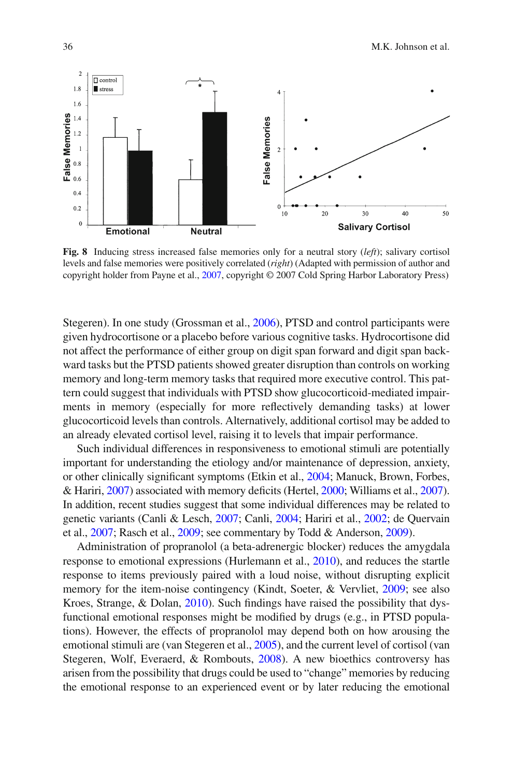<span id="page-21-0"></span>![](_page_21_Figure_1.jpeg)

**Fig. 8** Inducing stress increased false memories only for a neutral story (*left*); salivary cortisol levels and false memories were positively correlated ( *right* ) (Adapted with permission of author and copyright holder from Payne et al., [2007 ,](#page-33-0) copyright © 2007 Cold Spring Harbor Laboratory Press)

Stegeren). In one study (Grossman et al., [2006](#page-28-0)), PTSD and control participants were given hydrocortisone or a placebo before various cognitive tasks. Hydrocortisone did not affect the performance of either group on digit span forward and digit span backward tasks but the PTSD patients showed greater disruption than controls on working memory and long-term memory tasks that required more executive control. This pattern could suggest that individuals with PTSD show glucocorticoid-mediated impairments in memory (especially for more reflectively demanding tasks) at lower glucocorticoid levels than controls. Alternatively, additional cortisol may be added to an already elevated cortisol level, raising it to levels that impair performance.

 Such individual differences in responsiveness to emotional stimuli are potentially important for understanding the etiology and/or maintenance of depression, anxiety, or other clinically significant symptoms (Etkin et al., 2004; Manuck, Brown, Forbes, & Hariri, [2007](#page-31-0)) associated with memory deficits (Hertel, 2000; Williams et al., 2007). In addition, recent studies suggest that some individual differences may be related to genetic variants (Canli & Lesch, [2007](#page-25-0); Canli, 2004; Hariri et al., 2002; de Quervain et al., [2007](#page-26-0); Rasch et al., [2009](#page-36-0); see commentary by Todd & Anderson, 2009).

 Administration of propranolol (a beta-adrenergic blocker) reduces the amygdala response to emotional expressions (Hurlemann et al., 2010), and reduces the startle response to items previously paired with a loud noise, without disrupting explicit memory for the item-noise contingency (Kindt, Soeter, & Vervliet, [2009](#page-30-0); see also Kroes, Strange, & Dolan, [2010](#page-30-0)). Such findings have raised the possibility that dysfunctional emotional responses might be modified by drugs (e.g., in PTSD populations). However, the effects of propranolol may depend both on how arousing the emotional stimuli are (van Stegeren et al., 2005), and the current level of cortisol (van Stegeren, Wolf, Everaerd, & Rombouts, [2008](#page-36-0)). A new bioethics controversy has arisen from the possibility that drugs could be used to "change" memories by reducing the emotional response to an experienced event or by later reducing the emotional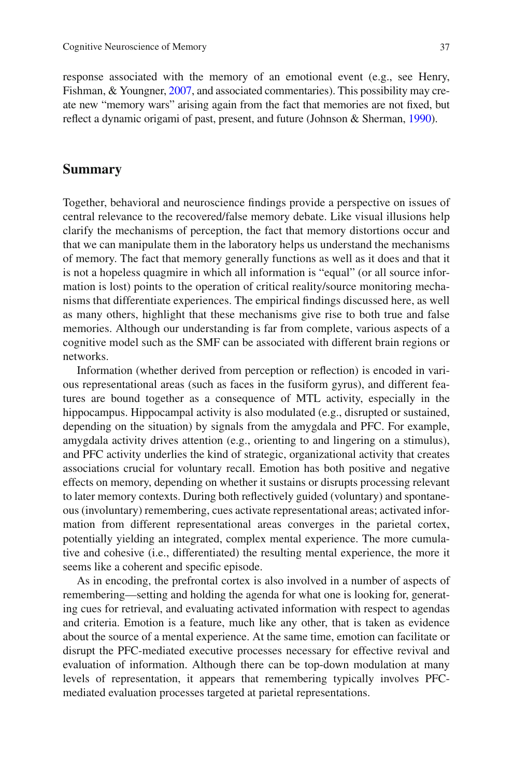response associated with the memory of an emotional event (e.g., see Henry, Fishman, & Youngner, [2007](#page-28-0), and associated commentaries). This possibility may create new "memory wars" arising again from the fact that memories are not fixed, but reflect a dynamic origami of past, present, and future (Johnson & Sherman, 1990).

#### **Summary**

Together, behavioral and neuroscience findings provide a perspective on issues of central relevance to the recovered/false memory debate. Like visual illusions help clarify the mechanisms of perception, the fact that memory distortions occur and that we can manipulate them in the laboratory helps us understand the mechanisms of memory. The fact that memory generally functions as well as it does and that it is not a hopeless quagmire in which all information is "equal" (or all source information is lost) points to the operation of critical reality/source monitoring mechanisms that differentiate experiences. The empirical findings discussed here, as well as many others, highlight that these mechanisms give rise to both true and false memories. Although our understanding is far from complete, various aspects of a cognitive model such as the SMF can be associated with different brain regions or networks.

Information (whether derived from perception or reflection) is encoded in various representational areas (such as faces in the fusiform gyrus), and different features are bound together as a consequence of MTL activity, especially in the hippocampus. Hippocampal activity is also modulated (e.g., disrupted or sustained, depending on the situation) by signals from the amygdala and PFC. For example, amygdala activity drives attention (e.g., orienting to and lingering on a stimulus), and PFC activity underlies the kind of strategic, organizational activity that creates associations crucial for voluntary recall. Emotion has both positive and negative effects on memory, depending on whether it sustains or disrupts processing relevant to later memory contexts. During both reflectively guided (voluntary) and spontaneous (involuntary) remembering, cues activate representational areas; activated information from different representational areas converges in the parietal cortex, potentially yielding an integrated, complex mental experience. The more cumulative and cohesive (i.e., differentiated) the resulting mental experience, the more it seems like a coherent and specific episode.

 As in encoding, the prefrontal cortex is also involved in a number of aspects of remembering—setting and holding the agenda for what one is looking for, generating cues for retrieval, and evaluating activated information with respect to agendas and criteria. Emotion is a feature, much like any other, that is taken as evidence about the source of a mental experience. At the same time, emotion can facilitate or disrupt the PFC-mediated executive processes necessary for effective revival and evaluation of information. Although there can be top-down modulation at many levels of representation, it appears that remembering typically involves PFCmediated evaluation processes targeted at parietal representations.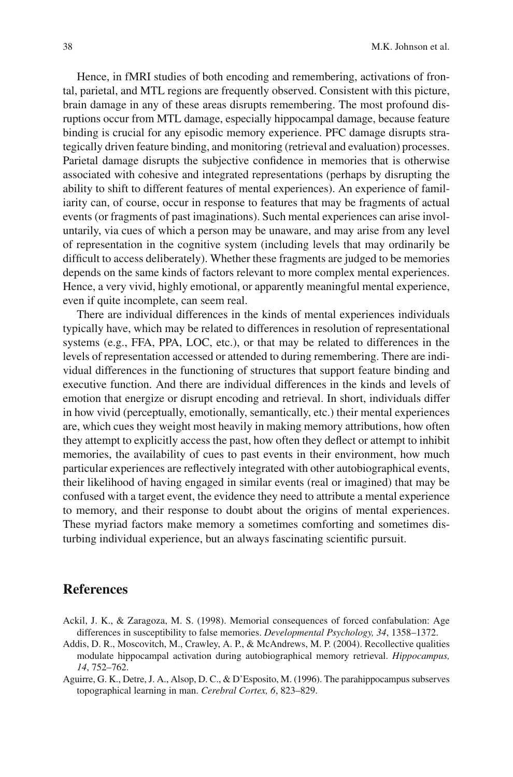<span id="page-23-0"></span> Hence, in fMRI studies of both encoding and remembering, activations of frontal, parietal, and MTL regions are frequently observed. Consistent with this picture, brain damage in any of these areas disrupts remembering. The most profound disruptions occur from MTL damage, especially hippocampal damage, because feature binding is crucial for any episodic memory experience. PFC damage disrupts strategically driven feature binding, and monitoring (retrieval and evaluation) processes. Parietal damage disrupts the subjective confidence in memories that is otherwise associated with cohesive and integrated representations (perhaps by disrupting the ability to shift to different features of mental experiences). An experience of familiarity can, of course, occur in response to features that may be fragments of actual events (or fragments of past imaginations). Such mental experiences can arise involuntarily, via cues of which a person may be unaware, and may arise from any level of representation in the cognitive system (including levels that may ordinarily be difficult to access deliberately). Whether these fragments are judged to be memories depends on the same kinds of factors relevant to more complex mental experiences. Hence, a very vivid, highly emotional, or apparently meaningful mental experience, even if quite incomplete, can seem real.

 There are individual differences in the kinds of mental experiences individuals typically have, which may be related to differences in resolution of representational systems (e.g., FFA, PPA, LOC, etc.), or that may be related to differences in the levels of representation accessed or attended to during remembering. There are individual differences in the functioning of structures that support feature binding and executive function. And there are individual differences in the kinds and levels of emotion that energize or disrupt encoding and retrieval. In short, individuals differ in how vivid (perceptually, emotionally, semantically, etc.) their mental experiences are, which cues they weight most heavily in making memory attributions, how often they attempt to explicitly access the past, how often they deflect or attempt to inhibit memories, the availability of cues to past events in their environment, how much particular experiences are reflectively integrated with other autobiographical events, their likelihood of having engaged in similar events (real or imagined) that may be confused with a target event, the evidence they need to attribute a mental experience to memory, and their response to doubt about the origins of mental experiences. These myriad factors make memory a sometimes comforting and sometimes disturbing individual experience, but an always fascinating scientific pursuit.

## **References**

- Ackil, J. K., & Zaragoza, M. S. (1998). Memorial consequences of forced confabulation: Age differences in susceptibility to false memories. *Developmental Psychology, 34* , 1358–1372.
- Addis, D. R., Moscovitch, M., Crawley, A. P., & McAndrews, M. P. (2004). Recollective qualities modulate hippocampal activation during autobiographical memory retrieval. *Hippocampus, 14* , 752–762.
- Aguirre, G. K., Detre, J. A., Alsop, D. C., & D'Esposito, M. (1996). The parahippocampus subserves topographical learning in man. *Cerebral Cortex, 6* , 823–829.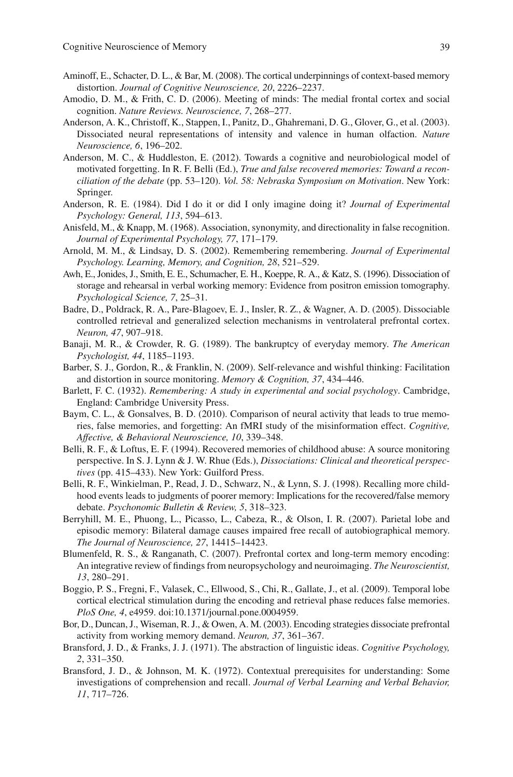- <span id="page-24-0"></span> Aminoff, E., Schacter, D. L., & Bar, M. (2008). The cortical underpinnings of context-based memory distortion. *Journal of Cognitive Neuroscience*, 20, 2226–2237.
- Amodio, D. M., & Frith, C. D. (2006). Meeting of minds: The medial frontal cortex and social cognition. *Nature Reviews. Neuroscience, 7* , 268–277.
- Anderson, A. K., Christoff, K., Stappen, I., Panitz, D., Ghahremani, D. G., Glover, G., et al. (2003). Dissociated neural representations of intensity and valence in human olfaction. *Nature Neuroscience, 6* , 196–202.
- Anderson, M. C., & Huddleston, E. (2012). Towards a cognitive and neurobiological model of motivated forgetting. In R. F. Belli (Ed.), *True and false recovered memories: Toward a reconciliation of the debate* (pp. 53–120). *Vol. 58: Nebraska Symposium on Motivation* . New York: Springer.
- Anderson, R. E. (1984). Did I do it or did I only imagine doing it? *Journal of Experimental Psychology: General, 113* , 594–613.
- Anisfeld, M., & Knapp, M. (1968). Association, synonymity, and directionality in false recognition. *Journal of Experimental Psychology, 77* , 171–179.
- Arnold, M. M., & Lindsay, D. S. (2002). Remembering remembering. *Journal of Experimental Psychology. Learning, Memory, and Cognition, 28* , 521–529.
- Awh, E., Jonides, J., Smith, E. E., Schumacher, E. H., Koeppe, R. A., & Katz, S. (1996). Dissociation of storage and rehearsal in verbal working memory: Evidence from positron emission tomography. *Psychological Science, 7* , 25–31.
- Badre, D., Poldrack, R. A., Pare-Blagoev, E. J., Insler, R. Z., & Wagner, A. D. (2005). Dissociable controlled retrieval and generalized selection mechanisms in ventrolateral prefrontal cortex. *Neuron, 47* , 907–918.
- Banaji, M. R., & Crowder, R. G. (1989). The bankruptcy of everyday memory. *The American Psychologist, 44* , 1185–1193.
- Barber, S. J., Gordon, R., & Franklin, N. (2009). Self-relevance and wishful thinking: Facilitation and distortion in source monitoring. *Memory & Cognition, 37* , 434–446.
- Barlett, F. C. (1932). *Remembering: A study in experimental and social psychology* . Cambridge, England: Cambridge University Press.
- Baym, C. L., & Gonsalves, B. D. (2010). Comparison of neural activity that leads to true memories, false memories, and forgetting: An fMRI study of the misinformation effect. *Cognitive, Affective, & Behavioral Neuroscience, 10* , 339–348.
- Belli, R. F., & Loftus, E. F. (1994). Recovered memories of childhood abuse: A source monitoring perspective. In S. J. Lynn & J. W. Rhue (Eds.), *Dissociations: Clinical and theoretical perspectives* (pp. 415–433). New York: Guilford Press.
- Belli, R. F., Winkielman, P., Read, J. D., Schwarz, N., & Lynn, S. J. (1998). Recalling more childhood events leads to judgments of poorer memory: Implications for the recovered/false memory debate. *Psychonomic Bulletin & Review, 5* , 318–323.
- Berryhill, M. E., Phuong, L., Picasso, L., Cabeza, R., & Olson, I. R. (2007). Parietal lobe and episodic memory: Bilateral damage causes impaired free recall of autobiographical memory. *The Journal of Neuroscience, 27* , 14415–14423.
- Blumenfeld, R. S., & Ranganath, C. (2007). Prefrontal cortex and long-term memory encoding: An integrative review of findings from neuropsychology and neuroimaging. *The Neuroscientist*, *13* , 280–291.
- Boggio, P. S., Fregni, F., Valasek, C., Ellwood, S., Chi, R., Gallate, J., et al. (2009). Temporal lobe cortical electrical stimulation during the encoding and retrieval phase reduces false memories. *PloS One, 4* , e4959. doi: 10.1371/journal.pone.0004959 .
- Bor, D., Duncan, J., Wiseman, R. J., & Owen, A. M. (2003). Encoding strategies dissociate prefrontal activity from working memory demand. *Neuron, 37* , 361–367.
- Bransford, J. D., & Franks, J. J. (1971). The abstraction of linguistic ideas. *Cognitive Psychology, 2* , 331–350.
- Bransford, J. D., & Johnson, M. K. (1972). Contextual prerequisites for understanding: Some investigations of comprehension and recall. *Journal of Verbal Learning and Verbal Behavior, 11* , 717–726.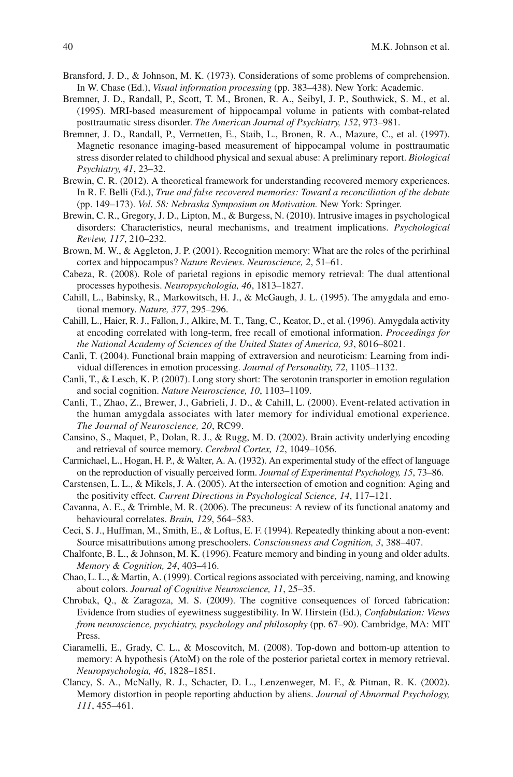- <span id="page-25-0"></span> Bransford, J. D., & Johnson, M. K. (1973). Considerations of some problems of comprehension. In W. Chase (Ed.), *Visual information processing* (pp. 383–438). New York: Academic.
- Bremner, J. D., Randall, P., Scott, T. M., Bronen, R. A., Seibyl, J. P., Southwick, S. M., et al. (1995). MRI-based measurement of hippocampal volume in patients with combat-related posttraumatic stress disorder. *The American Journal of Psychiatry, 152* , 973–981.
- Bremner, J. D., Randall, P., Vermetten, E., Staib, L., Bronen, R. A., Mazure, C., et al. (1997). Magnetic resonance imaging-based measurement of hippocampal volume in posttraumatic stress disorder related to childhood physical and sexual abuse: A preliminary report. *Biological Psychiatry, 41* , 23–32.
- Brewin, C. R. (2012). A theoretical framework for understanding recovered memory experiences. In R. F. Belli (Ed.), *True and false recovered memories: Toward a reconciliation of the debate* (pp. 149–173). *Vol. 58: Nebraska Symposium on Motivation.* New York: Springer *.*
- Brewin, C. R., Gregory, J. D., Lipton, M., & Burgess, N. (2010). Intrusive images in psychological disorders: Characteristics, neural mechanisms, and treatment implications. *Psychological Review, 117* , 210–232.
- Brown, M. W., & Aggleton, J. P. (2001). Recognition memory: What are the roles of the perirhinal cortex and hippocampus? *Nature Reviews. Neuroscience, 2* , 51–61.
- Cabeza, R. (2008). Role of parietal regions in episodic memory retrieval: The dual attentional processes hypothesis. *Neuropsychologia, 46* , 1813–1827.
- Cahill, L., Babinsky, R., Markowitsch, H. J., & McGaugh, J. L. (1995). The amygdala and emotional memory. *Nature, 377* , 295–296.
- Cahill, L., Haier, R. J., Fallon, J., Alkire, M. T., Tang, C., Keator, D., et al. (1996). Amygdala activity at encoding correlated with long-term, free recall of emotional information. *Proceedings for the National Academy of Sciences of the United States of America, 93* , 8016–8021.
- Canli, T. (2004). Functional brain mapping of extraversion and neuroticism: Learning from individual differences in emotion processing. *Journal of Personality, 72* , 1105–1132.
- Canli, T., & Lesch, K. P. (2007). Long story short: The serotonin transporter in emotion regulation and social cognition. *Nature Neuroscience*, 10, 1103-1109.
- Canli, T., Zhao, Z., Brewer, J., Gabrieli, J. D., & Cahill, L. (2000). Event-related activation in the human amygdala associates with later memory for individual emotional experience. *The Journal of Neuroscience, 20* , RC99.
- Cansino, S., Maquet, P., Dolan, R. J., & Rugg, M. D. (2002). Brain activity underlying encoding and retrieval of source memory. *Cerebral Cortex, 12* , 1049–1056.
- Carmichael, L., Hogan, H. P., & Walter, A. A. (1932). An experimental study of the effect of language on the reproduction of visually perceived form. *Journal of Experimental Psychology, 15* , 73–86.
- Carstensen, L. L., & Mikels, J. A. (2005). At the intersection of emotion and cognition: Aging and the positivity effect. *Current Directions in Psychological Science, 14* , 117–121.
- Cavanna, A. E., & Trimble, M. R. (2006). The precuneus: A review of its functional anatomy and behavioural correlates. *Brain, 129* , 564–583.
- Ceci, S. J., Huffman, M., Smith, E., & Loftus, E. F. (1994). Repeatedly thinking about a non-event: Source misattributions among preschoolers. *Consciousness and Cognition, 3* , 388–407.
- Chalfonte, B. L., & Johnson, M. K. (1996). Feature memory and binding in young and older adults. *Memory & Cognition, 24* , 403–416.
- Chao, L. L., & Martin, A. (1999). Cortical regions associated with perceiving, naming, and knowing about colors. *Journal of Cognitive Neuroscience, 11* , 25–35.
- Chrobak, Q., & Zaragoza, M. S. (2009). The cognitive consequences of forced fabrication: Evidence from studies of eyewitness suggestibility. In W. Hirstein (Ed.), *Confabulation: Views from neuroscience, psychiatry, psychology and philosophy* (pp. 67–90). Cambridge, MA: MIT Press.
- Ciaramelli, E., Grady, C. L., & Moscovitch, M. (2008). Top-down and bottom-up attention to memory: A hypothesis (AtoM) on the role of the posterior parietal cortex in memory retrieval. *Neuropsychologia, 46* , 1828–1851.
- Clancy, S. A., McNally, R. J., Schacter, D. L., Lenzenweger, M. F., & Pitman, R. K. (2002). Memory distortion in people reporting abduction by aliens. *Journal of Abnormal Psychology, 111* , 455–461.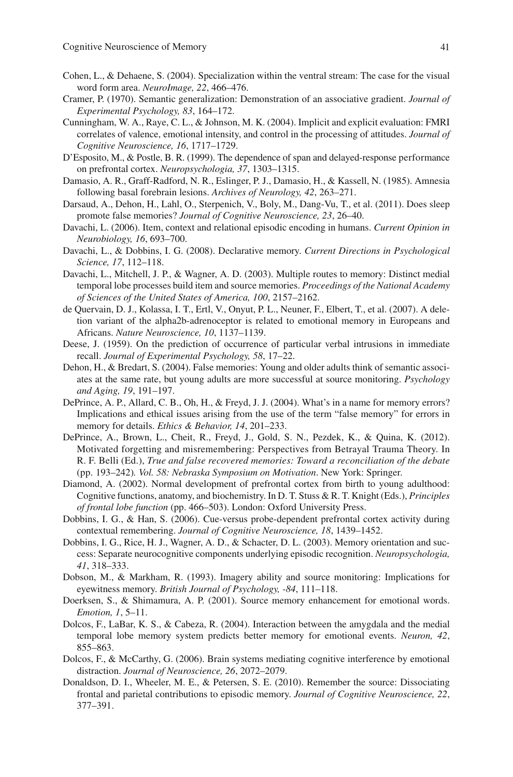- <span id="page-26-0"></span> Cohen, L., & Dehaene, S. (2004). Specialization within the ventral stream: The case for the visual word form area. *NeuroImage, 22* , 466–476.
- Cramer, P. (1970). Semantic generalization: Demonstration of an associative gradient. *Journal of Experimental Psychology, 83* , 164–172.
- Cunningham, W. A., Raye, C. L., & Johnson, M. K. (2004). Implicit and explicit evaluation: FMRI correlates of valence, emotional intensity, and control in the processing of attitudes. *Journal of Cognitive Neuroscience, 16* , 1717–1729.
- D'Esposito, M., & Postle, B. R. (1999). The dependence of span and delayed-response performance on prefrontal cortex. *Neuropsychologia, 37* , 1303–1315.
- Damasio, A. R., Graff-Radford, N. R., Eslinger, P. J., Damasio, H., & Kassell, N. (1985). Amnesia following basal forebrain lesions. *Archives of Neurology, 42* , 263–271.
- Darsaud, A., Dehon, H., Lahl, O., Sterpenich, V., Boly, M., Dang-Vu, T., et al. (2011). Does sleep promote false memories? *Journal of Cognitive Neuroscience, 23* , 26–40.
- Davachi, L. (2006). Item, context and relational episodic encoding in humans. *Current Opinion in Neurobiology, 16* , 693–700.
- Davachi, L., & Dobbins, I. G. (2008). Declarative memory. *Current Directions in Psychological Science, 17* , 112–118.
- Davachi, L., Mitchell, J. P., & Wagner, A. D. (2003). Multiple routes to memory: Distinct medial temporal lobe processes build item and source memories. *Proceedings of the National Academy of Sciences of the United States of America, 100* , 2157–2162.
- de Quervain, D. J., Kolassa, I. T., Ertl, V., Onyut, P. L., Neuner, F., Elbert, T., et al. (2007). A deletion variant of the alpha2b-adrenoceptor is related to emotional memory in Europeans and Africans. *Nature Neuroscience*, 10, 1137-1139.
- Deese, J. (1959). On the prediction of occurrence of particular verbal intrusions in immediate recall. *Journal of Experimental Psychology, 58* , 17–22.
- Dehon, H., & Bredart, S. (2004). False memories: Young and older adults think of semantic associates at the same rate, but young adults are more successful at source monitoring. *Psychology and Aging, 19* , 191–197.
- DePrince, A. P., Allard, C. B., Oh, H., & Freyd, J. J. (2004). What's in a name for memory errors? Implications and ethical issues arising from the use of the term "false memory" for errors in memory for details. *Ethics & Behavior*, 14, 201–233.
- DePrince, A., Brown, L., Cheit, R., Freyd, J., Gold, S. N., Pezdek, K., & Quina, K. (2012). Motivated forgetting and misremembering: Perspectives from Betrayal Trauma Theory. In R. F. Belli (Ed.), *True and false recovered memories: Toward a reconciliation of the debate* (pp. 193–242) *. Vol. 58: Nebraska Symposium on Motivation* . New York: Springer.
- Diamond, A. (2002). Normal development of prefrontal cortex from birth to young adulthood: Cognitive functions, anatomy, and biochemistry. In D. T. Stuss & R. T. Knight (Eds.), *Principles of frontal lobe function* (pp. 466–503). London: Oxford University Press.
- Dobbins, I. G., & Han, S. (2006). Cue-versus probe-dependent prefrontal cortex activity during contextual remembering. *Journal of Cognitive Neuroscience, 18* , 1439–1452.
- Dobbins, I. G., Rice, H. J., Wagner, A. D., & Schacter, D. L. (2003). Memory orientation and success: Separate neurocognitive components underlying episodic recognition. *Neuropsychologia, 41* , 318–333.
- Dobson, M., & Markham, R. (1993). Imagery ability and source monitoring: Implications for eyewitness memory. *British Journal of Psychology, -84* , 111–118.
- Doerksen, S., & Shimamura, A. P. (2001). Source memory enhancement for emotional words. *Emotion, 1, 5-11.*
- Dolcos, F., LaBar, K. S., & Cabeza, R. (2004). Interaction between the amygdala and the medial temporal lobe memory system predicts better memory for emotional events. *Neuron, 42* , 855–863.
- Dolcos, F., & McCarthy, G. (2006). Brain systems mediating cognitive interference by emotional distraction. *Journal of Neuroscience*, 26, 2072–2079.
- Donaldson, D. I., Wheeler, M. E., & Petersen, S. E. (2010). Remember the source: Dissociating frontal and parietal contributions to episodic memory. *Journal of Cognitive Neuroscience, 22* , 377–391.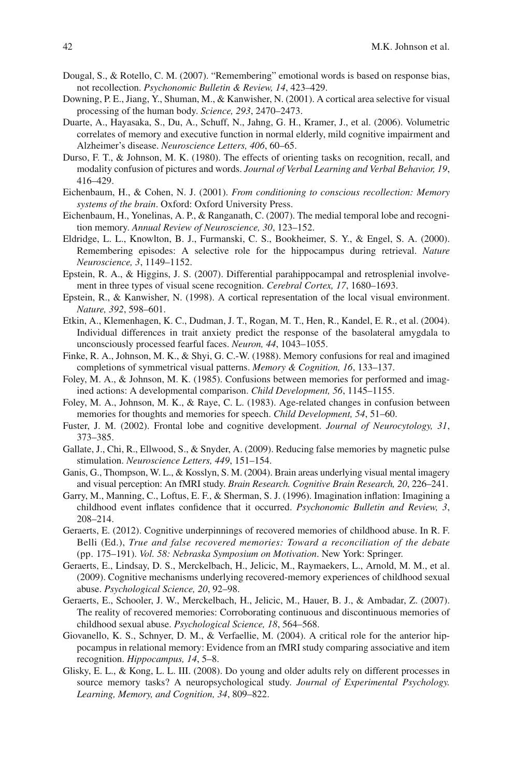- <span id="page-27-0"></span> Dougal, S., & Rotello, C. M. (2007). "Remembering" emotional words is based on response bias, not recollection. *Psychonomic Bulletin & Review, 14* , 423–429.
- Downing, P. E., Jiang, Y., Shuman, M., & Kanwisher, N. (2001). A cortical area selective for visual processing of the human body. *Science, 293* , 2470–2473.
- Duarte, A., Hayasaka, S., Du, A., Schuff, N., Jahng, G. H., Kramer, J., et al. (2006). Volumetric correlates of memory and executive function in normal elderly, mild cognitive impairment and Alzheimer's disease. *Neuroscience Letters, 406* , 60–65.
- Durso, F. T., & Johnson, M. K. (1980). The effects of orienting tasks on recognition, recall, and modality confusion of pictures and words. *Journal of Verbal Learning and Verbal Behavior, 19* , 416–429.
- Eichenbaum, H., & Cohen, N. J. (2001). *From conditioning to conscious recollection: Memory systems of the brain* . Oxford: Oxford University Press.
- Eichenbaum, H., Yonelinas, A. P., & Ranganath, C. (2007). The medial temporal lobe and recognition memory. *Annual Review of Neuroscience, 30* , 123–152.
- Eldridge, L. L., Knowlton, B. J., Furmanski, C. S., Bookheimer, S. Y., & Engel, S. A. (2000). Remembering episodes: A selective role for the hippocampus during retrieval. *Nature Neuroscience, 3* , 1149–1152.
- Epstein, R. A., & Higgins, J. S. (2007). Differential parahippocampal and retrosplenial involvement in three types of visual scene recognition. *Cerebral Cortex*, 17, 1680–1693.
- Epstein, R., & Kanwisher, N. (1998). A cortical representation of the local visual environment. *Nature, 392* , 598–601.
- Etkin, A., Klemenhagen, K. C., Dudman, J. T., Rogan, M. T., Hen, R., Kandel, E. R., et al. (2004). Individual differences in trait anxiety predict the response of the basolateral amygdala to unconsciously processed fearful faces. *Neuron, 44* , 1043–1055.
- Finke, R. A., Johnson, M. K., & Shyi, G. C.-W. (1988). Memory confusions for real and imagined completions of symmetrical visual patterns. *Memory & Cognition, 16* , 133–137.
- Foley, M. A., & Johnson, M. K. (1985). Confusions between memories for performed and imagined actions: A developmental comparison. *Child Development, 56* , 1145–1155.
- Foley, M. A., Johnson, M. K., & Raye, C. L. (1983). Age-related changes in confusion between memories for thoughts and memories for speech. *Child Development, 54* , 51–60.
- Fuster, J. M. (2002). Frontal lobe and cognitive development. *Journal of Neurocytology, 31* , 373–385.
- Gallate, J., Chi, R., Ellwood, S., & Snyder, A. (2009). Reducing false memories by magnetic pulse stimulation. *Neuroscience Letters, 449* , 151–154.
- Ganis, G., Thompson, W. L., & Kosslyn, S. M. (2004). Brain areas underlying visual mental imagery and visual perception: An fMRI study. *Brain Research. Cognitive Brain Research*, 20, 226-241.
- Garry, M., Manning, C., Loftus, E. F., & Sherman, S. J. (1996). Imagination inflation: Imagining a childhood event inflates confidence that it occurred. *Psychonomic Bulletin and Review*, 3, 208–214.
- Geraerts, E. (2012). Cognitive underpinnings of recovered memories of childhood abuse. In R. F. Belli (Ed.), *True and false recovered memories: Toward a reconciliation of the debate* (pp. 175–191). *Vol. 58: Nebraska Symposium on Motivation* . New York: Springer.
- Geraerts, E., Lindsay, D. S., Merckelbach, H., Jelicic, M., Raymaekers, L., Arnold, M. M., et al. (2009). Cognitive mechanisms underlying recovered-memory experiences of childhood sexual abuse. Psychological Science, 20, 92-98.
- Geraerts, E., Schooler, J. W., Merckelbach, H., Jelicic, M., Hauer, B. J., & Ambadar, Z. (2007). The reality of recovered memories: Corroborating continuous and discontinuous memories of childhood sexual abuse. *Psychological Science, 18* , 564–568.
- Giovanello, K. S., Schnyer, D. M., & Verfaellie, M. (2004). A critical role for the anterior hippocampus in relational memory: Evidence from an fMRI study comparing associative and item recognition. *Hippocampus, 14* , 5–8.
- Glisky, E. L., & Kong, L. L. III. (2008). Do young and older adults rely on different processes in source memory tasks? A neuropsychological study. *Journal of Experimental Psychology. Learning, Memory, and Cognition, 34* , 809–822.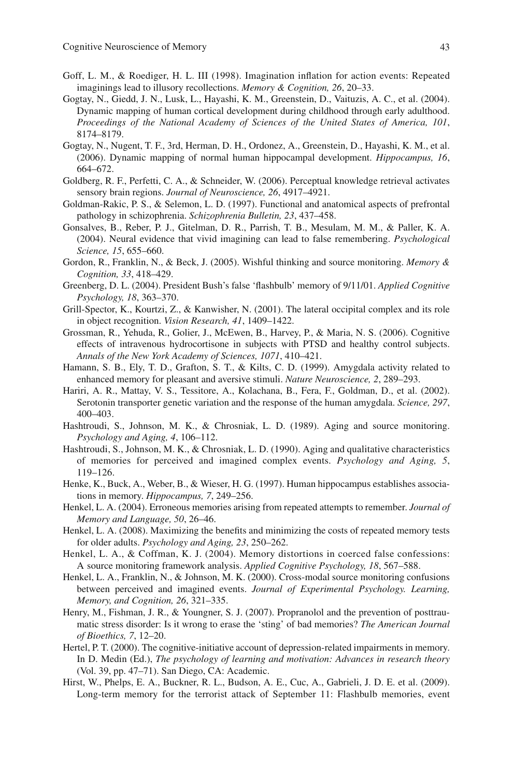- <span id="page-28-0"></span>Goff, L. M., & Roediger, H. L. III (1998). Imagination inflation for action events: Repeated imaginings lead to illusory recollections. *Memory & Cognition*, 26, 20–33.
- Gogtay, N., Giedd, J. N., Lusk, L., Hayashi, K. M., Greenstein, D., Vaituzis, A. C., et al. (2004). Dynamic mapping of human cortical development during childhood through early adulthood. *Proceedings of the National Academy of Sciences of the United States of America, 101* , 8174–8179.
- Gogtay, N., Nugent, T. F., 3rd, Herman, D. H., Ordonez, A., Greenstein, D., Hayashi, K. M., et al. (2006). Dynamic mapping of normal human hippocampal development. *Hippocampus, 16* , 664–672.
- Goldberg, R. F., Perfetti, C. A., & Schneider, W. (2006). Perceptual knowledge retrieval activates sensory brain regions. *Journal of Neuroscience*, 26, 4917–4921.
- Goldman-Rakic, P. S., & Selemon, L. D. (1997). Functional and anatomical aspects of prefrontal pathology in schizophrenia. *Schizophrenia Bulletin, 23* , 437–458.
- Gonsalves, B., Reber, P. J., Gitelman, D. R., Parrish, T. B., Mesulam, M. M., & Paller, K. A. (2004). Neural evidence that vivid imagining can lead to false remembering. *Psychological Science, 15* , 655–660.
- Gordon, R., Franklin, N., & Beck, J. (2005). Wishful thinking and source monitoring. *Memory & Cognition, 33* , 418–429.
- Greenberg, D. L. (2004). President Bush's false 'flashbulb' memory of 9/11/01. *Applied Cognitive Psychology, 18* , 363–370.
- Grill-Spector, K., Kourtzi, Z., & Kanwisher, N. (2001). The lateral occipital complex and its role in object recognition. *Vision Research, 41* , 1409–1422.
- Grossman, R., Yehuda, R., Golier, J., McEwen, B., Harvey, P., & Maria, N. S. (2006). Cognitive effects of intravenous hydrocortisone in subjects with PTSD and healthy control subjects. *Annals of the New York Academy of Sciences, 1071* , 410–421.
- Hamann, S. B., Ely, T. D., Grafton, S. T., & Kilts, C. D. (1999). Amygdala activity related to enhanced memory for pleasant and aversive stimuli. *Nature Neuroscience*, 2, 289-293.
- Hariri, A. R., Mattay, V. S., Tessitore, A., Kolachana, B., Fera, F., Goldman, D., et al. (2002). Serotonin transporter genetic variation and the response of the human amygdala. *Science, 297* , 400–403.
- Hashtroudi, S., Johnson, M. K., & Chrosniak, L. D. (1989). Aging and source monitoring. *Psychology and Aging, 4* , 106–112.
- Hashtroudi, S., Johnson, M. K., & Chrosniak, L. D. (1990). Aging and qualitative characteristics of memories for perceived and imagined complex events. *Psychology and Aging, 5* , 119–126.
- Henke, K., Buck, A., Weber, B., & Wieser, H. G. (1997). Human hippocampus establishes associations in memory. *Hippocampus*, 7, 249-256.
- Henkel, L. A. (2004). Erroneous memories arising from repeated attempts to remember. *Journal of Memory and Language, 50* , 26–46.
- Henkel, L. A. (2008). Maximizing the benefits and minimizing the costs of repeated memory tests for older adults. *Psychology and Aging, 23* , 250–262.
- Henkel, L. A., & Coffman, K. J. (2004). Memory distortions in coerced false confessions: A source monitoring framework analysis. *Applied Cognitive Psychology, 18* , 567–588.
- Henkel, L. A., Franklin, N., & Johnson, M. K. (2000). Cross-modal source monitoring confusions between perceived and imagined events. *Journal of Experimental Psychology. Learning, Memory, and Cognition, 26* , 321–335.
- Henry, M., Fishman, J. R., & Youngner, S. J. (2007). Propranolol and the prevention of posttraumatic stress disorder: Is it wrong to erase the 'sting' of bad memories? *The American Journal of Bioethics, 7* , 12–20.
- Hertel, P. T. (2000). The cognitive-initiative account of depression-related impairments in memory. In D. Medin (Ed.), *The psychology of learning and motivation: Advances in research theory* (Vol. 39, pp. 47–71). San Diego, CA: Academic.
- Hirst, W., Phelps, E. A., Buckner, R. L., Budson, A. E., Cuc, A., Gabrieli, J. D. E. et al. (2009). Long-term memory for the terrorist attack of September 11: Flashbulb memories, event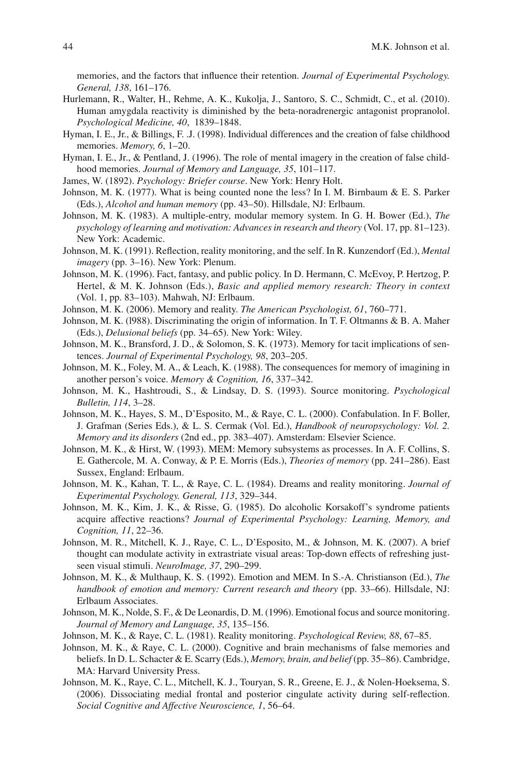<span id="page-29-0"></span>memories, and the factors that influence their retention. *Journal of Experimental Psychology. General, 138* , 161–176.

- Hurlemann, R., Walter, H., Rehme, A. K., Kukolja, J., Santoro, S. C., Schmidt, C., et al. (2010). Human amygdala reactivity is diminished by the beta-noradrenergic antagonist propranolol. *Psychological Medicine, 40* , 1839–1848.
- Hyman, I. E., Jr., & Billings, F. .J. (1998). Individual differences and the creation of false childhood memories. *Memory, 6* , 1–20.
- Hyman, I. E., Jr., & Pentland, J. (1996). The role of mental imagery in the creation of false childhood memories. *Journal of Memory and Language, 35* , 101–117.
- James, W. (1892). *Psychology: Briefer course* . New York: Henry Holt.
- Johnson, M. K. (1977). What is being counted none the less? In I. M. Birnbaum & E. S. Parker (Eds.), *Alcohol and human memory* (pp. 43–50). Hillsdale, NJ: Erlbaum.
- Johnson, M. K. (1983). A multiple-entry, modular memory system. In G. H. Bower (Ed.), *The psychology of learning and motivation: Advances in research and theory* (Vol. 17, pp. 81–123). New York: Academic.
- Johnson, M. K. (1991). Reflection, reality monitoring, and the self. In R. Kunzendorf (Ed.), *Mental imagery* (pp. 3–16). New York: Plenum.
- Johnson, M. K. (1996). Fact, fantasy, and public policy. In D. Hermann, C. McEvoy, P. Hertzog, P. Hertel, & M. K. Johnson (Eds.), *Basic and applied memory research: Theory in context* (Vol. 1, pp. 83–103). Mahwah, NJ: Erlbaum.
- Johnson, M. K. (2006). Memory and reality. *The American Psychologist, 61* , 760–771.
- Johnson, M. K. (l988). Discriminating the origin of information. In T. F. Oltmanns & B. A. Maher (Eds.), *Delusional beliefs* (pp. 34–65). New York: Wiley.
- Johnson, M. K., Bransford, J. D., & Solomon, S. K. (1973). Memory for tacit implications of sentences. *Journal of Experimental Psychology, 98* , 203–205.
- Johnson, M. K., Foley, M. A., & Leach, K. (1988). The consequences for memory of imagining in another person's voice. *Memory & Cognition, 16* , 337–342.
- Johnson, M. K., Hashtroudi, S., & Lindsay, D. S. (1993). Source monitoring. *Psychological Bulletin, 114* , 3–28.
- Johnson, M. K., Hayes, S. M., D'Esposito, M., & Raye, C. L. (2000). Confabulation. In F. Boller, J. Grafman (Series Eds.), & L. S. Cermak (Vol. Ed.), *Handbook of neuropsychology: Vol. 2. Memory and its disorders* (2nd ed., pp. 383–407). Amsterdam: Elsevier Science.
- Johnson, M. K., & Hirst, W. (1993). MEM: Memory subsystems as processes. In A. F. Collins, S. E. Gathercole, M. A. Conway, & P. E. Morris (Eds.), *Theories of memory* (pp. 241–286). East Sussex, England: Erlbaum.
- Johnson, M. K., Kahan, T. L., & Raye, C. L. (1984). Dreams and reality monitoring. *Journal of Experimental Psychology. General, 113* , 329–344.
- Johnson, M. K., Kim, J. K., & Risse, G. (1985). Do alcoholic Korsakoff's syndrome patients acquire affective reactions? *Journal of Experimental Psychology: Learning, Memory, and Cognition, 11* , 22–36.
- Johnson, M. R., Mitchell, K. J., Raye, C. L., D'Esposito, M., & Johnson, M. K. (2007). A brief thought can modulate activity in extrastriate visual areas: Top-down effects of refreshing justseen visual stimuli. *NeuroImage, 37* , 290–299.
- Johnson, M. K., & Multhaup, K. S. (1992). Emotion and MEM. In S.-A. Christianson (Ed.), *The handbook of emotion and memory: Current research and theory* (pp. 33–66). Hillsdale, NJ: Erlbaum Associates.
- Johnson, M. K., Nolde, S. F., & De Leonardis, D. M. (1996). Emotional focus and source monitoring. *Journal of Memory and Language, 35* , 135–156.
- Johnson, M. K., & Raye, C. L. (1981). Reality monitoring. *Psychological Review, 88* , 67–85.
- Johnson, M. K., & Raye, C. L. (2000). Cognitive and brain mechanisms of false memories and beliefs. In D. L. Schacter & E. Scarry (Eds.), *Memory, brain, and belief* (pp. 35–86). Cambridge, MA: Harvard University Press.
- Johnson, M. K., Raye, C. L., Mitchell, K. J., Touryan, S. R., Greene, E. J., & Nolen-Hoeksema, S. (2006). Dissociating medial frontal and posterior cingulate activity during self-reflection. *Social Cognitive and Affective Neuroscience, 1* , 56–64.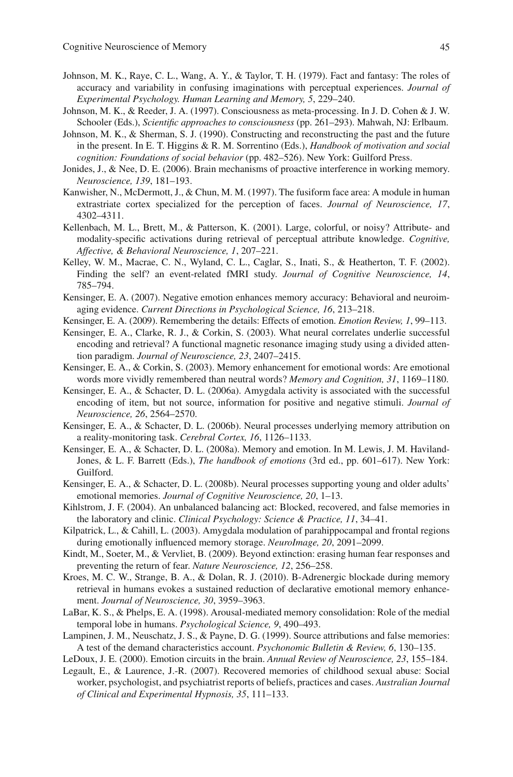- <span id="page-30-0"></span> Johnson, M. K., Raye, C. L., Wang, A. Y., & Taylor, T. H. (1979). Fact and fantasy: The roles of accuracy and variability in confusing imaginations with perceptual experiences. *Journal of Experimental Psychology. Human Learning and Memory, 5* , 229–240.
- Johnson, M. K., & Reeder, J. A. (1997). Consciousness as meta-processing. In J. D. Cohen & J. W. Schooler (Eds.), *Scientific approaches to consciousness* (pp. 261–293). Mahwah, NJ: Erlbaum.
- Johnson, M. K., & Sherman, S. J. (1990). Constructing and reconstructing the past and the future in the present. In E. T. Higgins & R. M. Sorrentino (Eds.), *Handbook of motivation and social cognition: Foundations of social behavior* (pp. 482–526). New York: Guilford Press.
- Jonides, J., & Nee, D. E. (2006). Brain mechanisms of proactive interference in working memory. *Neuroscience, 139* , 181–193.
- Kanwisher, N., McDermott, J., & Chun, M. M. (1997). The fusiform face area: A module in human extrastriate cortex specialized for the perception of faces. *Journal of Neuroscience, 17* , 4302–4311.
- Kellenbach, M. L., Brett, M., & Patterson, K. (2001). Large, colorful, or noisy? Attribute- and modality-specific activations during retrieval of perceptual attribute knowledge. *Cognitive*, *Affective, & Behavioral Neuroscience, 1* , 207–221.
- Kelley, W. M., Macrae, C. N., Wyland, C. L., Caglar, S., Inati, S., & Heatherton, T. F. (2002). Finding the self? an event-related fMRI study. *Journal of Cognitive Neuroscience, 14* , 785–794.
- Kensinger, E. A. (2007). Negative emotion enhances memory accuracy: Behavioral and neuroimaging evidence. *Current Directions in Psychological Science*, 16, 213-218.
- Kensinger, E. A. (2009). Remembering the details: Effects of emotion. *Emotion Review, 1* , 99–113.
- Kensinger, E. A., Clarke, R. J., & Corkin, S. (2003). What neural correlates underlie successful encoding and retrieval? A functional magnetic resonance imaging study using a divided attention paradigm. *Journal of Neuroscience, 23* , 2407–2415.
- Kensinger, E. A., & Corkin, S. (2003). Memory enhancement for emotional words: Are emotional words more vividly remembered than neutral words? *Memory and Cognition, 31* , 1169–1180.
- Kensinger, E. A., & Schacter, D. L. (2006a). Amygdala activity is associated with the successful encoding of item, but not source, information for positive and negative stimuli. *Journal of Neuroscience, 26* , 2564–2570.
- Kensinger, E. A., & Schacter, D. L. (2006b). Neural processes underlying memory attribution on a reality-monitoring task. *Cerebral Cortex, 16* , 1126–1133.
- Kensinger, E. A., & Schacter, D. L. (2008a). Memory and emotion. In M. Lewis, J. M. Haviland-Jones, & L. F. Barrett (Eds.), *The handbook of emotions* (3rd ed., pp. 601–617). New York: Guilford.
- Kensinger, E. A., & Schacter, D. L. (2008b). Neural processes supporting young and older adults' emotional memories. Journal of Cognitive Neuroscience, 20, 1-13.
- Kihlstrom, J. F. (2004). An unbalanced balancing act: Blocked, recovered, and false memories in the laboratory and clinic. *Clinical Psychology: Science & Practice, 11* , 34–41.
- Kilpatrick, L., & Cahill, L. (2003). Amygdala modulation of parahippocampal and frontal regions during emotionally influenced memory storage. *NeuroImage*, 20, 2091–2099.
- Kindt, M., Soeter, M., & Vervliet, B. (2009). Beyond extinction: erasing human fear responses and preventing the return of fear. *Nature Neuroscience, 12* , 256–258.
- Kroes, M. C. W., Strange, B. A., & Dolan, R. J. (2010). B-Adrenergic blockade during memory retrieval in humans evokes a sustained reduction of declarative emotional memory enhancement. *Journal of Neuroscience*, 30, 3959-3963.
- LaBar, K. S., & Phelps, E. A. (1998). Arousal-mediated memory consolidation: Role of the medial temporal lobe in humans. *Psychological Science, 9* , 490–493.
- Lampinen, J. M., Neuschatz, J. S., & Payne, D. G. (1999). Source attributions and false memories: A test of the demand characteristics account. *Psychonomic Bulletin & Review, 6* , 130–135.
- LeDoux, J. E. (2000). Emotion circuits in the brain. *Annual Review of Neuroscience, 23* , 155–184.
- Legault, E., & Laurence, J.-R. (2007). Recovered memories of childhood sexual abuse: Social worker, psychologist, and psychiatrist reports of beliefs, practices and cases. *Australian Journal of Clinical and Experimental Hypnosis, 35* , 111–133.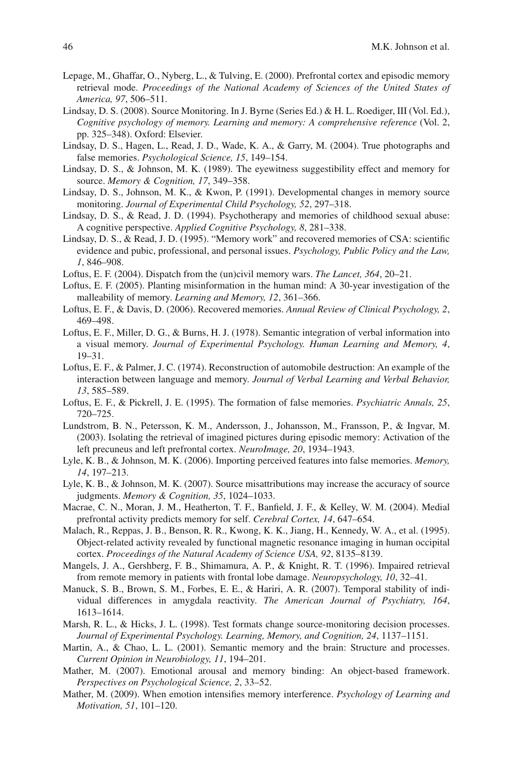- <span id="page-31-0"></span> Lepage, M., Ghaffar, O., Nyberg, L., & Tulving, E. (2000). Prefrontal cortex and episodic memory retrieval mode. *Proceedings of the National Academy of Sciences of the United States of America, 97* , 506–511.
- Lindsay, D. S. (2008). Source Monitoring. In J. Byrne (Series Ed.) & H. L. Roediger, III (Vol. Ed.), *Cognitive psychology of memory. Learning and memory: A comprehensive reference* (Vol. 2, pp. 325–348). Oxford: Elsevier.
- Lindsay, D. S., Hagen, L., Read, J. D., Wade, K. A., & Garry, M. (2004). True photographs and false memories. *Psychological Science*, 15, 149–154.
- Lindsay, D. S., & Johnson, M. K. (1989). The eyewitness suggestibility effect and memory for source. *Memory & Cognition, 17, 349-358.*
- Lindsay, D. S., Johnson, M. K., & Kwon, P. (1991). Developmental changes in memory source monitoring. *Journal of Experimental Child Psychology*, 52, 297–318.
- Lindsay, D. S., & Read, J. D. (1994). Psychotherapy and memories of childhood sexual abuse: A cognitive perspective. *Applied Cognitive Psychology, 8* , 281–338.
- Lindsay, D. S., & Read, J. D. (1995). "Memory work" and recovered memories of CSA: scientific evidence and pubic, professional, and personal issues. *Psychology, Public Policy and the Law, 1* , 846–908.
- Loftus, E. F. (2004). Dispatch from the (un)civil memory wars. *The Lancet, 364* , 20–21.
- Loftus, E. F. (2005). Planting misinformation in the human mind: A 30-year investigation of the malleability of memory. *Learning and Memory, 12* , 361–366.
- Loftus, E. F., & Davis, D. (2006). Recovered memories. *Annual Review of Clinical Psychology, 2* , 469–498.
- Loftus, E. F., Miller, D. G., & Burns, H. J. (1978). Semantic integration of verbal information into a visual memory. *Journal of Experimental Psychology. Human Learning and Memory, 4* , 19–31.
- Loftus, E. F., & Palmer, J. C. (1974). Reconstruction of automobile destruction: An example of the interaction between language and memory. *Journal of Verbal Learning and Verbal Behavior, 13* , 585–589.
- Loftus, E. F., & Pickrell, J. E. (1995). The formation of false memories. *Psychiatric Annals, 25* , 720–725.
- Lundstrom, B. N., Petersson, K. M., Andersson, J., Johansson, M., Fransson, P., & Ingvar, M. (2003). Isolating the retrieval of imagined pictures during episodic memory: Activation of the left precuneus and left prefrontal cortex. *NeuroImage, 20* , 1934–1943.
- Lyle, K. B., & Johnson, M. K. (2006). Importing perceived features into false memories. *Memory, 14* , 197–213.
- Lyle, K. B., & Johnson, M. K. (2007). Source misattributions may increase the accuracy of source judgments. *Memory & Cognition, 35* , 1024–1033.
- Macrae, C. N., Moran, J. M., Heatherton, T. F., Banfield, J. F., & Kelley, W. M. (2004). Medial prefrontal activity predicts memory for self. *Cerebral Cortex, 14* , 647–654.
- Malach, R., Reppas, J. B., Benson, R. R., Kwong, K. K., Jiang, H., Kennedy, W. A., et al. (1995). Object-related activity revealed by functional magnetic resonance imaging in human occipital cortex. Proceedings of the Natural Academy of Science USA, 92, 8135-8139.
- Mangels, J. A., Gershberg, F. B., Shimamura, A. P., & Knight, R. T. (1996). Impaired retrieval from remote memory in patients with frontal lobe damage. *Neuropsychology, 10* , 32–41.
- Manuck, S. B., Brown, S. M., Forbes, E. E., & Hariri, A. R. (2007). Temporal stability of individual differences in amygdala reactivity. *The American Journal of Psychiatry, 164* , 1613–1614.
- Marsh, R. L., & Hicks, J. L. (1998). Test formats change source-monitoring decision processes. *Journal of Experimental Psychology. Learning, Memory, and Cognition, 24* , 1137–1151.
- Martin, A., & Chao, L. L. (2001). Semantic memory and the brain: Structure and processes. *Current Opinion in Neurobiology, 11* , 194–201.
- Mather, M. (2007). Emotional arousal and memory binding: An object-based framework. *Perspectives on Psychological Science, 2, 33-52.*
- Mather, M. (2009). When emotion intensifies memory interference. *Psychology of Learning and Motivation, 51* , 101–120.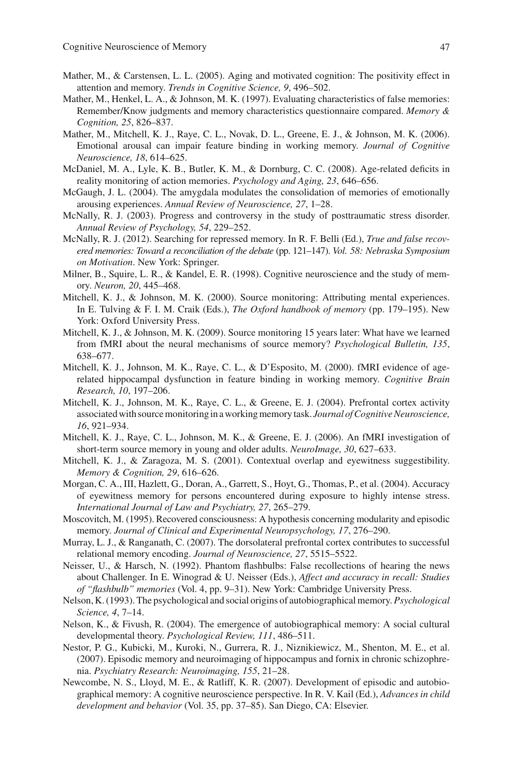- <span id="page-32-0"></span>Mather, M., & Carstensen, L. L. (2005). Aging and motivated cognition: The positivity effect in attention and memory. *Trends in Cognitive Science, 9* , 496–502.
- Mather, M., Henkel, L. A., & Johnson, M. K. (1997). Evaluating characteristics of false memories: Remember/Know judgments and memory characteristics questionnaire compared. *Memory & Cognition, 25* , 826–837.
- Mather, M., Mitchell, K. J., Raye, C. L., Novak, D. L., Greene, E. J., & Johnson, M. K. (2006). Emotional arousal can impair feature binding in working memory. *Journal of Cognitive Neuroscience, 18* , 614–625.
- McDaniel, M. A., Lyle, K. B., Butler, K. M., & Dornburg, C. C. (2008). Age-related deficits in reality monitoring of action memories. *Psychology and Aging, 23* , 646–656.
- McGaugh, J. L. (2004). The amygdala modulates the consolidation of memories of emotionally arousing experiences. *Annual Review of Neuroscience, 27* , 1–28.
- McNally, R. J. (2003). Progress and controversy in the study of posttraumatic stress disorder. *Annual Review of Psychology, 54* , 229–252.
- McNally, R. J. (2012). Searching for repressed memory. In R. F. Belli (Ed.), *True and false recovered memories: Toward a reconciliation of the debate* (pp. 121–147). *Vol. 58: Nebraska Symposium on Motivation* . New York: Springer.
- Milner, B., Squire, L. R., & Kandel, E. R. (1998). Cognitive neuroscience and the study of memory. *Neuron, 20* , 445–468.
- Mitchell, K. J., & Johnson, M. K. (2000). Source monitoring: Attributing mental experiences. In E. Tulving & F. I. M. Craik (Eds.), *The Oxford handbook of memory* (pp. 179–195). New York: Oxford University Press.
- Mitchell, K. J., & Johnson, M. K. (2009). Source monitoring 15 years later: What have we learned from fMRI about the neural mechanisms of source memory? *Psychological Bulletin, 135* , 638–677.
- Mitchell, K. J., Johnson, M. K., Raye, C. L., & D'Esposito, M. (2000). fMRI evidence of agerelated hippocampal dysfunction in feature binding in working memory. *Cognitive Brain Research, 10* , 197–206.
- Mitchell, K. J., Johnson, M. K., Raye, C. L., & Greene, E. J. (2004). Prefrontal cortex activity associated with source monitoring in a working memory task. *Journal of Cognitive Neuroscience, 16* , 921–934.
- Mitchell, K. J., Raye, C. L., Johnson, M. K., & Greene, E. J. (2006). An fMRI investigation of short-term source memory in young and older adults. *NeuroImage, 30* , 627–633.
- Mitchell, K. J., & Zaragoza, M. S. (2001). Contextual overlap and eyewitness suggestibility. *Memory & Cognition, 29* , 616–626.
- Morgan, C. A., III, Hazlett, G., Doran, A., Garrett, S., Hoyt, G., Thomas, P., et al. (2004). Accuracy of eyewitness memory for persons encountered during exposure to highly intense stress. *International Journal of Law and Psychiatry, 27* , 265–279.
- Moscovitch, M. (1995). Recovered consciousness: A hypothesis concerning modularity and episodic memory. *Journal of Clinical and Experimental Neuropsychology, 17, 276–290.*
- Murray, L. J., & Ranganath, C. (2007). The dorsolateral prefrontal cortex contributes to successful relational memory encoding. *Journal of Neuroscience, 27* , 5515–5522.
- Neisser, U., & Harsch, N. (1992). Phantom flashbulbs: False recollections of hearing the news about Challenger. In E. Winograd & U. Neisser (Eds.), *Affect and accuracy in recall: Studies of "fl ashbulb" memories* (Vol. 4, pp. 9–31). New York: Cambridge University Press.
- Nelson, K. (1993). The psychological and social origins of autobiographical memory. *Psychological Science, 4* , 7–14.
- Nelson, K., & Fivush, R. (2004). The emergence of autobiographical memory: A social cultural developmental theory. *Psychological Review, 111* , 486–511.
- Nestor, P. G., Kubicki, M., Kuroki, N., Gurrera, R. J., Niznikiewicz, M., Shenton, M. E., et al. (2007). Episodic memory and neuroimaging of hippocampus and fornix in chronic schizophrenia. *Psychiatry Research: Neuroimaging, 155* , 21–28.
- Newcombe, N. S., Lloyd, M. E., & Ratliff, K. R. (2007). Development of episodic and autobiographical memory: A cognitive neuroscience perspective. In R. V. Kail (Ed.), *Advances in child development and behavior* (Vol. 35, pp. 37–85). San Diego, CA: Elsevier.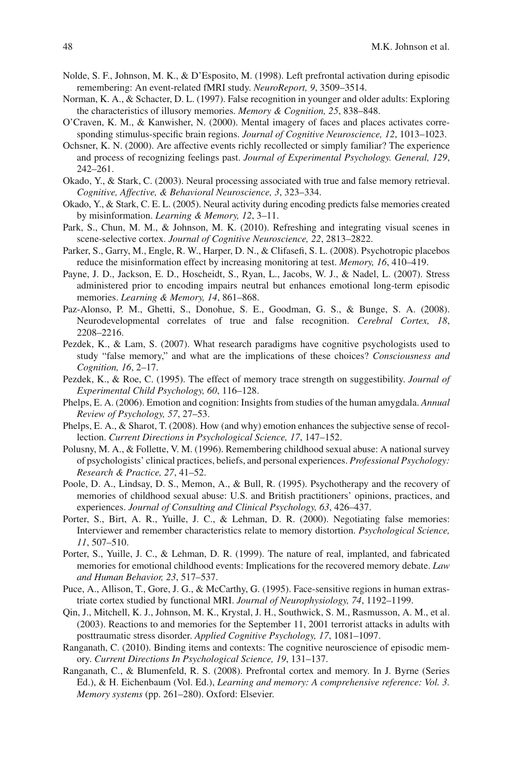- <span id="page-33-0"></span> Nolde, S. F., Johnson, M. K., & D'Esposito, M. (1998). Left prefrontal activation during episodic remembering: An event-related fMRI study. *NeuroReport, 9* , 3509–3514.
- Norman, K. A., & Schacter, D. L. (1997). False recognition in younger and older adults: Exploring the characteristics of illusory memories. *Memory & Cognition, 25* , 838–848.
- O'Craven, K. M., & Kanwisher, N. (2000). Mental imagery of faces and places activates corresponding stimulus-specific brain regions. *Journal of Cognitive Neuroscience*, 12, 1013–1023.
- Ochsner, K. N. (2000). Are affective events richly recollected or simply familiar? The experience and process of recognizing feelings past. *Journal of Experimental Psychology. General, 129* , 242–261.
- Okado, Y., & Stark, C. (2003). Neural processing associated with true and false memory retrieval. *Cognitive, Affective, & Behavioral Neuroscience, 3* , 323–334.
- Okado, Y., & Stark, C. E. L. (2005). Neural activity during encoding predicts false memories created by misinformation. *Learning & Memory, 12* , 3–11.
- Park, S., Chun, M. M., & Johnson, M. K. (2010). Refreshing and integrating visual scenes in scene-selective cortex. *Journal of Cognitive Neuroscience*, 22, 2813-2822.
- Parker, S., Garry, M., Engle, R. W., Harper, D. N., & Clifasefi, S. L. (2008). Psychotropic placebos reduce the misinformation effect by increasing monitoring at test. *Memory, 16* , 410–419.
- Payne, J. D., Jackson, E. D., Hoscheidt, S., Ryan, L., Jacobs, W. J., & Nadel, L. (2007). Stress administered prior to encoding impairs neutral but enhances emotional long-term episodic memories. *Learning & Memory, 14* , 861–868.
- Paz-Alonso, P. M., Ghetti, S., Donohue, S. E., Goodman, G. S., & Bunge, S. A. (2008). Neurodevelopmental correlates of true and false recognition. *Cerebral Cortex, 18* , 2208–2216.
- Pezdek, K., & Lam, S. (2007). What research paradigms have cognitive psychologists used to study "false memory," and what are the implications of these choices? *Consciousness and Cognition, 16, 2-17.*
- Pezdek, K., & Roe, C. (1995). The effect of memory trace strength on suggestibility. *Journal of Experimental Child Psychology, 60, 116–128.*
- Phelps, E. A. (2006). Emotion and cognition: Insights from studies of the human amygdala. *Annual Review of Psychology, 57* , 27–53.
- Phelps, E. A., & Sharot, T. (2008). How (and why) emotion enhances the subjective sense of recollection. *Current Directions in Psychological Science*, 17, 147–152.
- Polusny, M. A., & Follette, V. M. (1996). Remembering childhood sexual abuse: A national survey of psychologists' clinical practices, beliefs, and personal experiences. *Professional Psychology: Research & Practice, 27* , 41–52.
- Poole, D. A., Lindsay, D. S., Memon, A., & Bull, R. (1995). Psychotherapy and the recovery of memories of childhood sexual abuse: U.S. and British practitioners' opinions, practices, and experiences. *Journal of Consulting and Clinical Psychology, 63* , 426–437.
- Porter, S., Birt, A. R., Yuille, J. C., & Lehman, D. R. (2000). Negotiating false memories: Interviewer and remember characteristics relate to memory distortion. *Psychological Science, 11* , 507–510.
- Porter, S., Yuille, J. C., & Lehman, D. R. (1999). The nature of real, implanted, and fabricated memories for emotional childhood events: Implications for the recovered memory debate. *Law and Human Behavior, 23* , 517–537.
- Puce, A., Allison, T., Gore, J. G., & McCarthy, G. (1995). Face-sensitive regions in human extrastriate cortex studied by functional MRI. *Journal of Neurophysiology, 74* , 1192–1199.
- Qin, J., Mitchell, K. J., Johnson, M. K., Krystal, J. H., Southwick, S. M., Rasmusson, A. M., et al. (2003). Reactions to and memories for the September 11, 2001 terrorist attacks in adults with posttraumatic stress disorder. *Applied Cognitive Psychology, 17* , 1081–1097.
- Ranganath, C. (2010). Binding items and contexts: The cognitive neuroscience of episodic memory. Current Directions In Psychological Science, 19, 131-137.
- Ranganath, C., & Blumenfeld, R. S. (2008). Prefrontal cortex and memory. In J. Byrne (Series Ed.), & H. Eichenbaum (Vol. Ed.), *Learning and memory: A comprehensive reference: Vol. 3. Memory systems* (pp. 261–280). Oxford: Elsevier.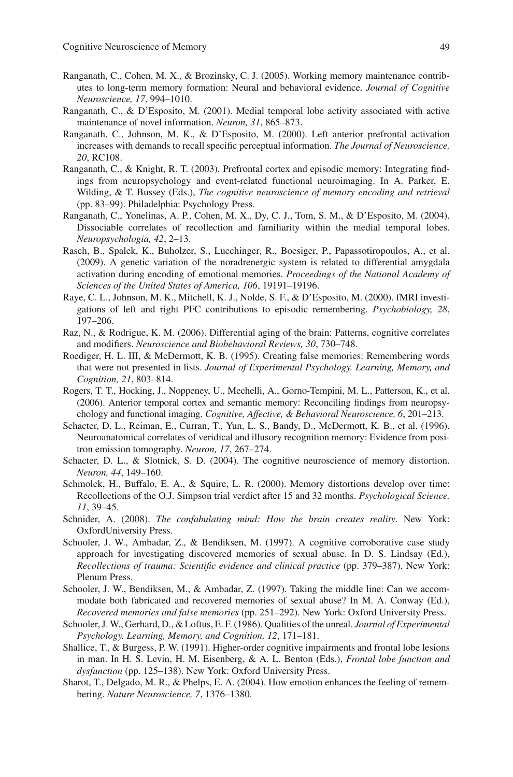- <span id="page-34-0"></span> Ranganath, C., Cohen, M. X., & Brozinsky, C. J. (2005). Working memory maintenance contributes to long-term memory formation: Neural and behavioral evidence. *Journal of Cognitive Neuroscience, 17* , 994–1010.
- Ranganath, C., & D'Esposito, M. (2001). Medial temporal lobe activity associated with active maintenance of novel information. *Neuron, 31* , 865–873.
- Ranganath, C., Johnson, M. K., & D'Esposito, M. (2000). Left anterior prefrontal activation increases with demands to recall specific perceptual information. *The Journal of Neuroscience*, *20* , RC108.
- Ranganath, C., & Knight, R. T. (2003). Prefrontal cortex and episodic memory: Integrating findings from neuropsychology and event-related functional neuroimaging. In A. Parker, E. Wilding, & T. Bussey (Eds.), *The cognitive neuroscience of memory encoding and retrieval* (pp. 83–99). Philadelphia: Psychology Press.
- Ranganath, C., Yonelinas, A. P., Cohen, M. X., Dy, C. J., Tom, S. M., & D'Esposito, M. (2004). Dissociable correlates of recollection and familiarity within the medial temporal lobes. *Neuropsychologia, 42* , 2–13.
- Rasch, B., Spalek, K., Buholzer, S., Luechinger, R., Boesiger, P., Papassotiropoulos, A., et al. (2009). A genetic variation of the noradrenergic system is related to differential amygdala activation during encoding of emotional memories. *Proceedings of the National Academy of Sciences of the United States of America, 106* , 19191–19196.
- Raye, C. L., Johnson, M. K., Mitchell, K. J., Nolde, S. F., & D'Esposito, M. (2000). fMRI investigations of left and right PFC contributions to episodic remembering. *Psychobiology, 28* , 197–206.
- Raz, N., & Rodrigue, K. M. (2006). Differential aging of the brain: Patterns, cognitive correlates and modifiers. *Neuroscience and Biobehavioral Reviews*, 30, 730–748.
- Roediger, H. L. III, & McDermott, K. B. (1995). Creating false memories: Remembering words that were not presented in lists. *Journal of Experimental Psychology. Learning, Memory, and Cognition, 21* , 803–814.
- Rogers, T. T., Hocking, J., Noppeney, U., Mechelli, A., Gorno-Tempini, M. L., Patterson, K., et al. (2006). Anterior temporal cortex and semantic memory: Reconciling findings from neuropsychology and functional imaging. *Cognitive, Affective, & Behavioral Neuroscience, 6* , 201–213.
- Schacter, D. L., Reiman, E., Curran, T., Yun, L. S., Bandy, D., McDermott, K. B., et al. (1996). Neuroanatomical correlates of veridical and illusory recognition memory: Evidence from positron emission tomography. *Neuron, 17*, 267-274.
- Schacter, D. L., & Slotnick, S. D. (2004). The cognitive neuroscience of memory distortion. *Neuron, 44* , 149–160.
- Schmolck, H., Buffalo, E. A., & Squire, L. R. (2000). Memory distortions develop over time: Recollections of the O.J. Simpson trial verdict after 15 and 32 months. *Psychological Science, 11* , 39–45.
- Schnider, A. (2008). *The confabulating mind: How the brain creates reality*. New York: OxfordUniversity Press.
- Schooler, J. W., Ambadar, Z., & Bendiksen, M. (1997). A cognitive corroborative case study approach for investigating discovered memories of sexual abuse. In D. S. Lindsay (Ed.), Recollections of trauma: Scientific evidence and clinical practice (pp. 379-387). New York: Plenum Press.
- Schooler, J. W., Bendiksen, M., & Ambadar, Z. (1997). Taking the middle line: Can we accommodate both fabricated and recovered memories of sexual abuse? In M. A. Conway (Ed.), *Recovered memories and false memories* (pp. 251–292). New York: Oxford University Press.
- Schooler, J. W., Gerhard, D., & Loftus, E. F. (1986). Qualities of the unreal. *Journal of Experimental Psychology. Learning, Memory, and Cognition, 12, 171–181.*
- Shallice, T., & Burgess, P. W. (1991). Higher-order cognitive impairments and frontal lobe lesions in man. In H. S. Levin, H. M. Eisenberg, & A. L. Benton (Eds.), *Frontal lobe function and dysfunction* (pp. 125–138). New York: Oxford University Press.
- Sharot, T., Delgado, M. R., & Phelps, E. A. (2004). How emotion enhances the feeling of remembering. *Nature Neuroscience*, 7, 1376-1380.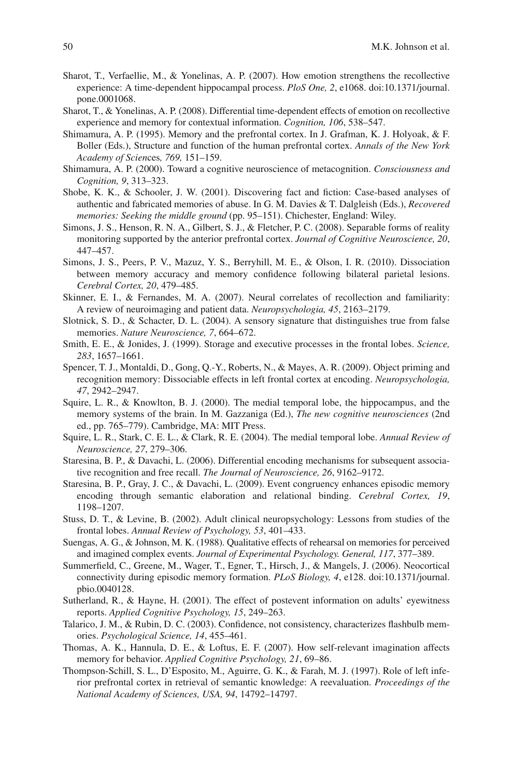- <span id="page-35-0"></span> Sharot, T., Verfaellie, M., & Yonelinas, A. P. (2007). How emotion strengthens the recollective experience: A time-dependent hippocampal process. *PloS One, 2* , e1068. doi: 10.1371/journal. pone.0001068.
- Sharot, T., & Yonelinas, A. P. (2008). Differential time-dependent effects of emotion on recollective experience and memory for contextual information. *Cognition, 106* , 538–547.
- Shimamura, A. P. (1995). Memory and the prefrontal cortex. In J. Grafman, K. J. Holyoak, & F. Boller (Eds.), Structure and function of the human prefrontal cortex. *Annals of the New York Academy of Sciences, 769, 151-159.*
- Shimamura, A. P. (2000). Toward a cognitive neuroscience of metacognition. *Consciousness and Cognition, 9* , 313–323.
- Shobe, K. K., & Schooler, J. W. (2001). Discovering fact and fiction: Case-based analyses of authentic and fabricated memories of abuse. In G. M. Davies & T. Dalgleish (Eds.), *Recovered memories: Seeking the middle ground* (pp. 95–151). Chichester, England: Wiley.
- Simons, J. S., Henson, R. N. A., Gilbert, S. J., & Fletcher, P. C. (2008). Separable forms of reality monitoring supported by the anterior prefrontal cortex. *Journal of Cognitive Neuroscience, 20* , 447–457.
- Simons, J. S., Peers, P. V., Mazuz, Y. S., Berryhill, M. E., & Olson, I. R. (2010). Dissociation between memory accuracy and memory confidence following bilateral parietal lesions. *Cerebral Cortex, 20* , 479–485.
- Skinner, E. I., & Fernandes, M. A. (2007). Neural correlates of recollection and familiarity: A review of neuroimaging and patient data. *Neuropsychologia, 45* , 2163–2179.
- Slotnick, S. D., & Schacter, D. L. (2004). A sensory signature that distinguishes true from false memories. *Nature Neuroscience, 7* , 664–672.
- Smith, E. E., & Jonides, J. (1999). Storage and executive processes in the frontal lobes. *Science, 283* , 1657–1661.
- Spencer, T. J., Montaldi, D., Gong, Q.-Y., Roberts, N., & Mayes, A. R. (2009). Object priming and recognition memory: Dissociable effects in left frontal cortex at encoding. *Neuropsychologia, 47* , 2942–2947.
- Squire, L. R., & Knowlton, B. J. (2000). The medial temporal lobe, the hippocampus, and the memory systems of the brain. In M. Gazzaniga (Ed.), *The new cognitive neurosciences* (2nd ed., pp. 765–779). Cambridge, MA: MIT Press.
- Squire, L. R., Stark, C. E. L., & Clark, R. E. (2004). The medial temporal lobe. *Annual Review of Neuroscience, 27* , 279–306.
- Staresina, B. P., & Davachi, L. (2006). Differential encoding mechanisms for subsequent associative recognition and free recall. *The Journal of Neuroscience, 26* , 9162–9172.
- Staresina, B. P., Gray, J. C., & Davachi, L. (2009). Event congruency enhances episodic memory encoding through semantic elaboration and relational binding. *Cerebral Cortex, 19*, 1198–1207.
- Stuss, D. T., & Levine, B. (2002). Adult clinical neuropsychology: Lessons from studies of the frontal lobes. *Annual Review of Psychology, 53* , 401–433.
- Suengas, A. G., & Johnson, M. K. (1988). Qualitative effects of rehearsal on memories for perceived and imagined complex events. *Journal of Experimental Psychology. General, 117* , 377–389.
- Summerfield, C., Greene, M., Wager, T., Egner, T., Hirsch, J., & Mangels, J. (2006). Neocortical connectivity during episodic memory formation. *PLoS Biology, 4* , e128. doi: 10.1371/journal. pbio.0040128.
- Sutherland, R., & Hayne, H. (2001). The effect of postevent information on adults' eyewitness reports. *Applied Cognitive Psychology, 15* , 249–263.
- Talarico, J. M., & Rubin, D. C. (2003). Confidence, not consistency, characterizes flashbulb memories. *Psychological Science, 14* , 455–461.
- Thomas, A. K., Hannula, D. E., & Loftus, E. F. (2007). How self-relevant imagination affects memory for behavior. *Applied Cognitive Psychology, 21* , 69–86.
- Thompson-Schill, S. L., D'Esposito, M., Aguirre, G. K., & Farah, M. J. (1997). Role of left inferior prefrontal cortex in retrieval of semantic knowledge: A reevaluation. *Proceedings of the National Academy of Sciences, USA, 94* , 14792–14797.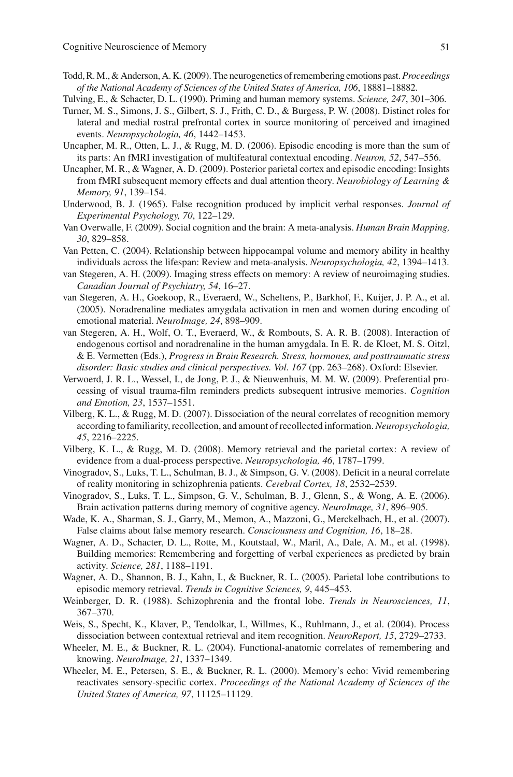- <span id="page-36-0"></span> Todd, R. M., & Anderson, A. K. (2009). The neurogenetics of remembering emotions past. *Proceedings of the National Academy of Sciences of the United States of America, 106* , 18881–18882.
- Tulving, E., & Schacter, D. L. (1990). Priming and human memory systems. *Science, 247* , 301–306.
- Turner, M. S., Simons, J. S., Gilbert, S. J., Frith, C. D., & Burgess, P. W. (2008). Distinct roles for lateral and medial rostral prefrontal cortex in source monitoring of perceived and imagined events. *Neuropsychologia, 46* , 1442–1453.
- Uncapher, M. R., Otten, L. J., & Rugg, M. D. (2006). Episodic encoding is more than the sum of its parts: An fMRI investigation of multifeatural contextual encoding. *Neuron, 52* , 547–556.
- Uncapher, M. R., & Wagner, A. D. (2009). Posterior parietal cortex and episodic encoding: Insights from fMRI subsequent memory effects and dual attention theory. *Neurobiology of Learning & Memory, 91* , 139–154.
- Underwood, B. J. (1965). False recognition produced by implicit verbal responses. *Journal of Experimental Psychology, 70* , 122–129.
- Van Overwalle, F. (2009). Social cognition and the brain: A meta-analysis. *Human Brain Mapping, 30* , 829–858.
- Van Petten, C. (2004). Relationship between hippocampal volume and memory ability in healthy individuals across the lifespan: Review and meta-analysis. *Neuropsychologia, 42* , 1394–1413.
- van Stegeren, A. H. (2009). Imaging stress effects on memory: A review of neuroimaging studies. *Canadian Journal of Psychiatry, 54* , 16–27.
- van Stegeren, A. H., Goekoop, R., Everaerd, W., Scheltens, P., Barkhof, F., Kuijer, J. P. A., et al. (2005). Noradrenaline mediates amygdala activation in men and women during encoding of emotional material. *NeuroImage, 24* , 898–909.
- van Stegeren, A. H., Wolf, O. T., Everaerd, W., & Rombouts, S. A. R. B. (2008). Interaction of endogenous cortisol and noradrenaline in the human amygdala. In E. R. de Kloet, M. S. Oitzl, & E. Vermetten (Eds.), *Progress in Brain Research. Stress, hormones, and posttraumatic stress disorder: Basic studies and clinical perspectives. Vol. 167* (pp. 263–268). Oxford: Elsevier.
- Verwoerd, J. R. L., Wessel, I., de Jong, P. J., & Nieuwenhuis, M. M. W. (2009). Preferential processing of visual trauma-film reminders predicts subsequent intrusive memories. *Cognition and Emotion, 23* , 1537–1551.
- Vilberg, K. L., & Rugg, M. D. (2007). Dissociation of the neural correlates of recognition memory according to familiarity, recollection, and amount of recollected information. *Neuropsychologia, 45* , 2216–2225.
- Vilberg, K. L., & Rugg, M. D. (2008). Memory retrieval and the parietal cortex: A review of evidence from a dual-process perspective. *Neuropsychologia, 46* , 1787–1799.
- Vinogradov, S., Luks, T. L., Schulman, B. J., & Simpson, G. V. (2008). Deficit in a neural correlate of reality monitoring in schizophrenia patients. *Cerebral Cortex, 18* , 2532–2539.
- Vinogradov, S., Luks, T. L., Simpson, G. V., Schulman, B. J., Glenn, S., & Wong, A. E. (2006). Brain activation patterns during memory of cognitive agency. *NeuroImage, 31* , 896–905.
- Wade, K. A., Sharman, S. J., Garry, M., Memon, A., Mazzoni, G., Merckelbach, H., et al. (2007). False claims about false memory research. *Consciousness and Cognition, 16* , 18–28.
- Wagner, A. D., Schacter, D. L., Rotte, M., Koutstaal, W., Maril, A., Dale, A. M., et al. (1998). Building memories: Remembering and forgetting of verbal experiences as predicted by brain activity. *Science, 281* , 1188–1191.
- Wagner, A. D., Shannon, B. J., Kahn, I., & Buckner, R. L. (2005). Parietal lobe contributions to episodic memory retrieval. *Trends in Cognitive Sciences, 9* , 445–453.
- Weinberger, D. R. (1988). Schizophrenia and the frontal lobe. *Trends in Neurosciences, 11* , 367–370.
- Weis, S., Specht, K., Klaver, P., Tendolkar, I., Willmes, K., Ruhlmann, J., et al. (2004). Process dissociation between contextual retrieval and item recognition. *NeuroReport, 15* , 2729–2733.
- Wheeler, M. E., & Buckner, R. L. (2004). Functional-anatomic correlates of remembering and knowing. *NeuroImage, 21* , 1337–1349.
- Wheeler, M. E., Petersen, S. E., & Buckner, R. L. (2000). Memory's echo: Vivid remembering reactivates sensory-specific cortex. *Proceedings of the National Academy of Sciences of the United States of America, 97* , 11125–11129.